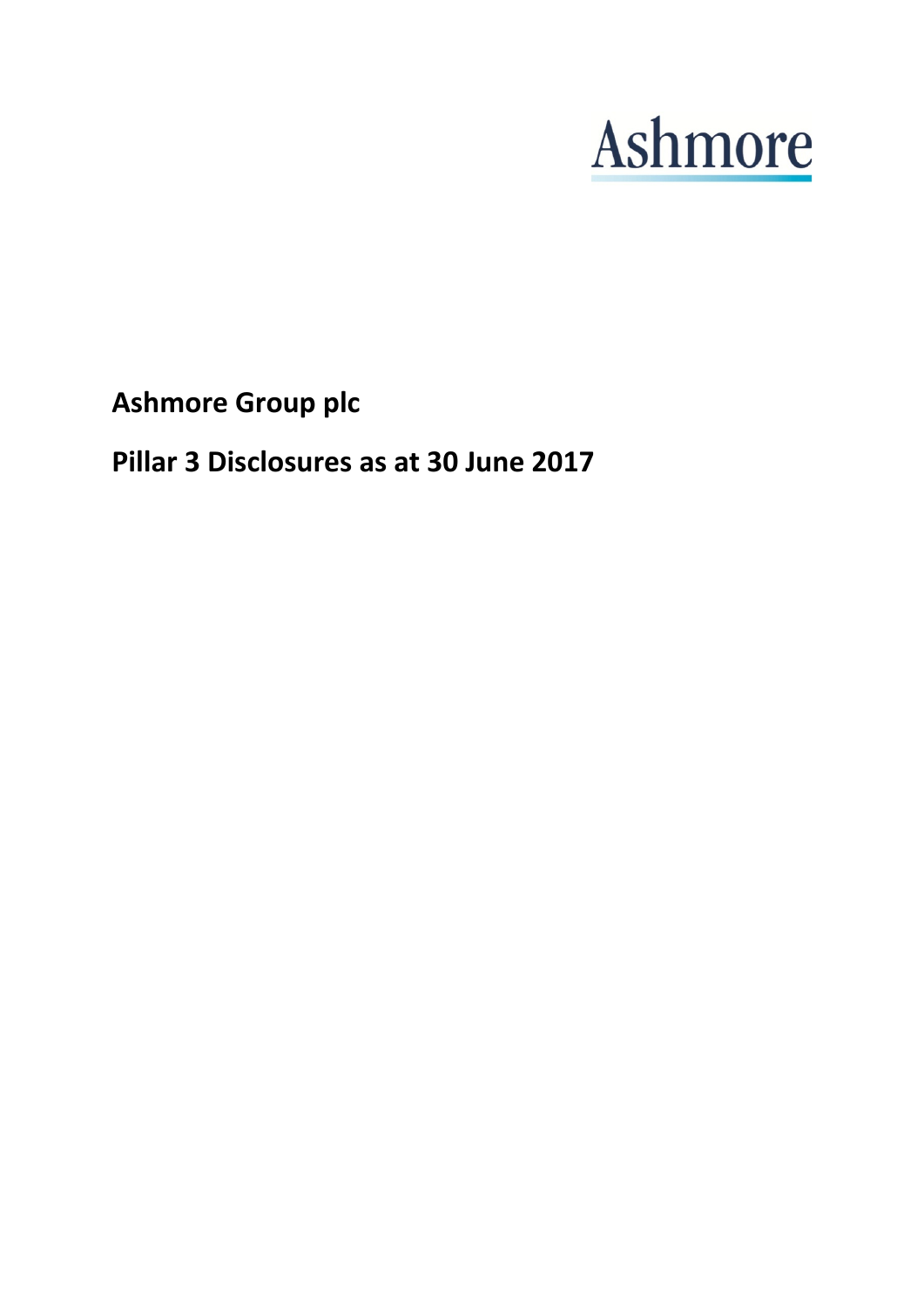

**Ashmore Group plc**

**Pillar 3 Disclosures as at 30 June 2017**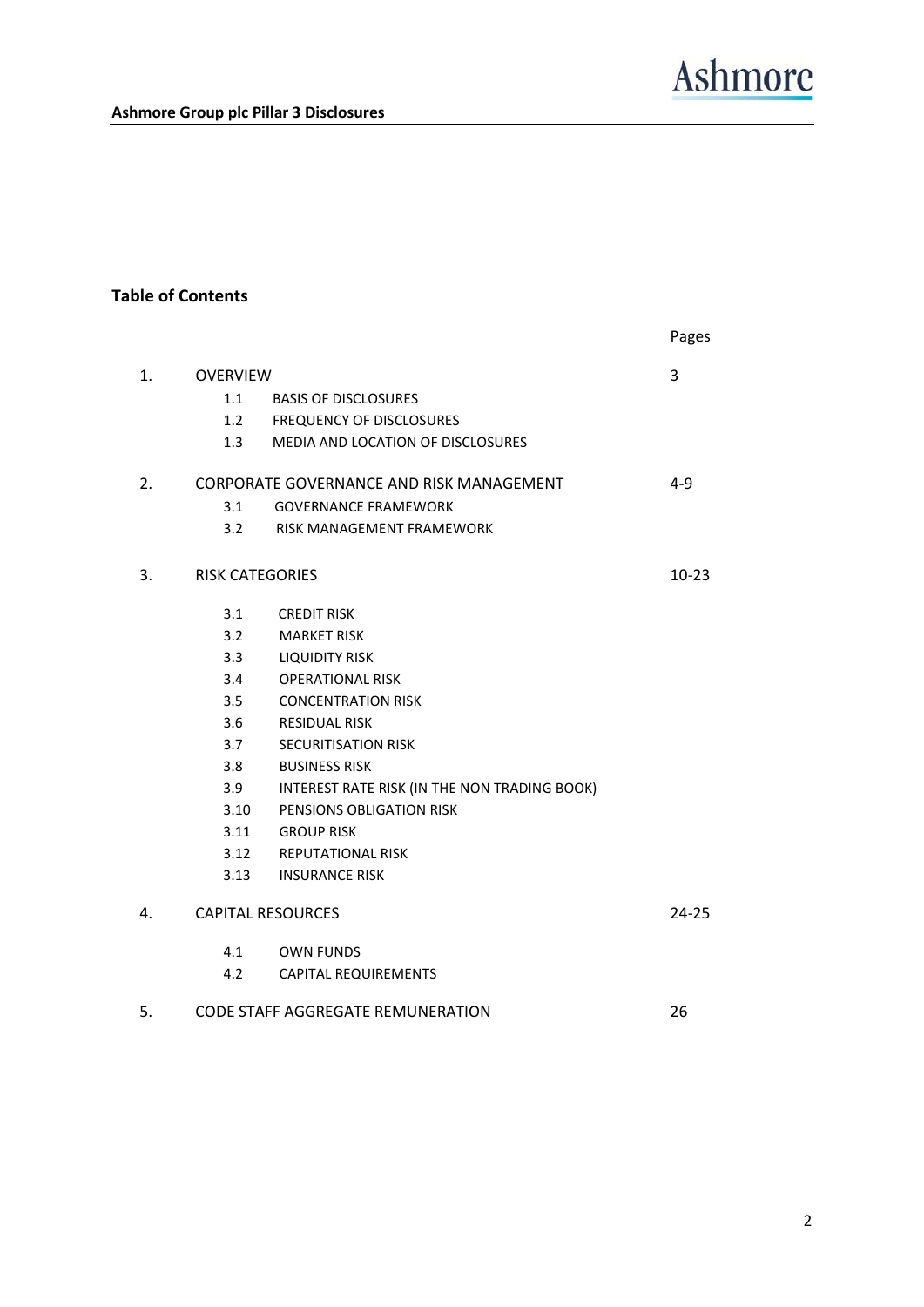### **Table of Contents**

|    |                          |                                              | Pages   |
|----|--------------------------|----------------------------------------------|---------|
| 1. | <b>OVERVIEW</b>          |                                              | 3       |
|    | 1.1                      | <b>BASIS OF DISCLOSURES</b>                  |         |
|    | 1.2                      | FREQUENCY OF DISCLOSURES                     |         |
|    | 1.3                      | MEDIA AND LOCATION OF DISCLOSURES            |         |
| 2. |                          | CORPORATE GOVERNANCE AND RISK MANAGEMENT     | 4-9     |
|    | 3.1                      | <b>GOVERNANCE FRAMEWORK</b>                  |         |
|    | 3.2                      | <b>RISK MANAGEMENT FRAMEWORK</b>             |         |
| 3. | <b>RISK CATEGORIES</b>   |                                              | $10-23$ |
|    | 3.1                      | <b>CREDIT RISK</b>                           |         |
|    | 3.2                      | <b>MARKET RISK</b>                           |         |
|    | 3.3                      | <b>LIQUIDITY RISK</b>                        |         |
|    | 3.4                      | <b>OPERATIONAL RISK</b>                      |         |
|    | 3.5                      | <b>CONCENTRATION RISK</b>                    |         |
|    | 3.6                      | <b>RESIDUAL RISK</b>                         |         |
|    | 3.7                      | <b>SECURITISATION RISK</b>                   |         |
|    | 3.8                      | <b>BUSINESS RISK</b>                         |         |
|    | 3.9                      | INTEREST RATE RISK (IN THE NON TRADING BOOK) |         |
|    | 3.10                     | PENSIONS OBLIGATION RISK                     |         |
|    | 3.11                     | <b>GROUP RISK</b>                            |         |
|    | 3.12                     | <b>REPUTATIONAL RISK</b>                     |         |
|    | 3.13                     | <b>INSURANCE RISK</b>                        |         |
| 4. | <b>CAPITAL RESOURCES</b> | $24 - 25$                                    |         |
|    | 4.1                      | <b>OWN FUNDS</b>                             |         |
|    | 4.2                      | <b>CAPITAL REQUIREMENTS</b>                  |         |
| 5. |                          | CODE STAFF AGGREGATE REMUNERATION            | 26      |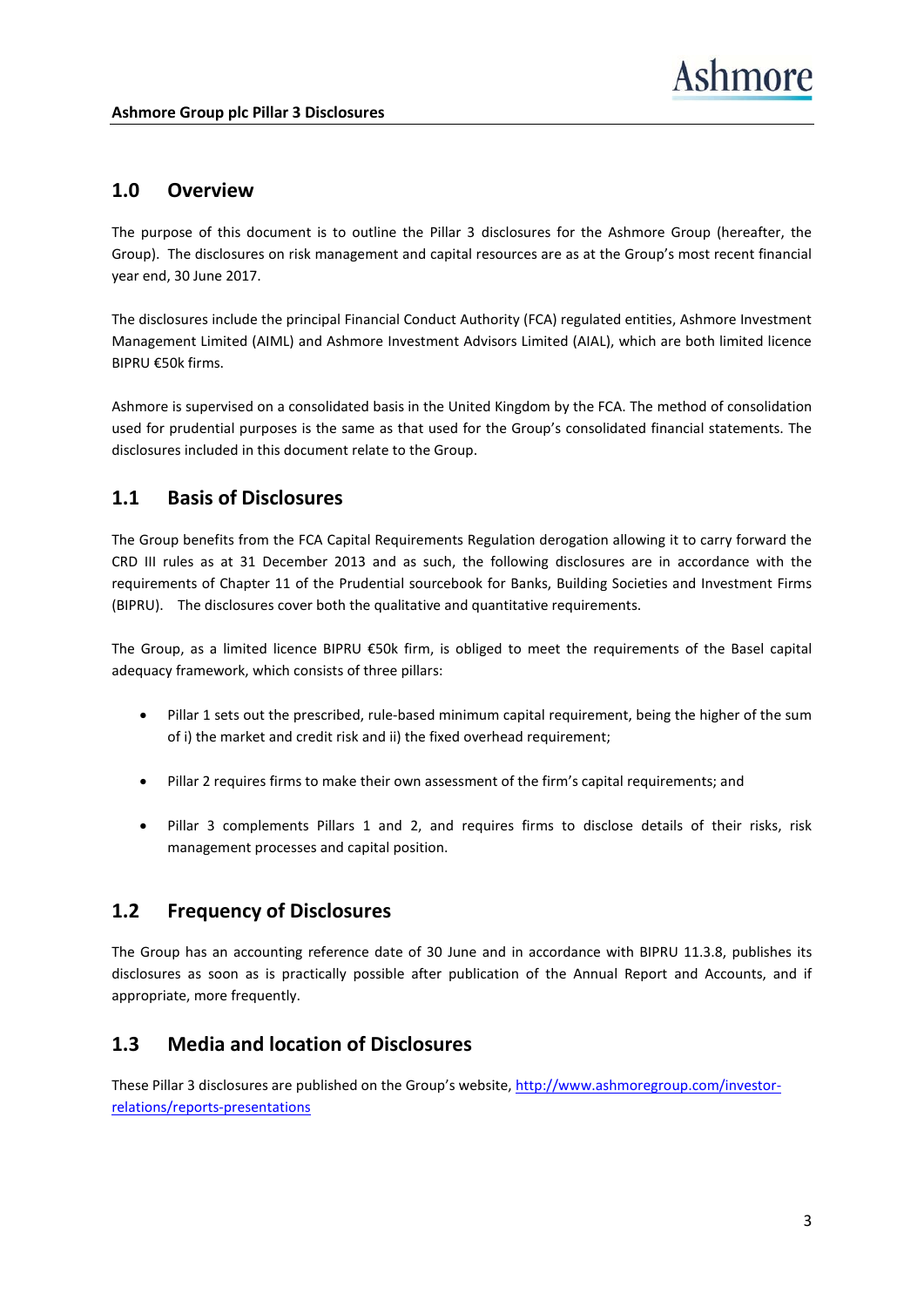### **1.0 Overview**

The purpose of this document is to outline the Pillar 3 disclosures for the Ashmore Group (hereafter, the Group). The disclosures on risk management and capital resources are as at the Group's most recent financial year end, 30 June 2017.

The disclosures include the principal Financial Conduct Authority (FCA) regulated entities, Ashmore Investment Management Limited (AIML) and Ashmore Investment Advisors Limited (AIAL), which are both limited licence BIPRU €50k firms.

Ashmore is supervised on a consolidated basis in the United Kingdom by the FCA. The method of consolidation used for prudential purposes is the same as that used for the Group's consolidated financial statements. The disclosures included in this document relate to the Group.

### **1.1 Basis of Disclosures**

The Group benefits from the FCA Capital Requirements Regulation derogation allowing it to carry forward the CRD III rules as at 31 December 2013 and as such, the following disclosures are in accordance with the requirements of Chapter 11 of the Prudential sourcebook for Banks, Building Societies and Investment Firms (BIPRU). The disclosures cover both the qualitative and quantitative requirements.

The Group, as a limited licence BIPRU €50k firm, is obliged to meet the requirements of the Basel capital adequacy framework, which consists of three pillars:

- Pillar 1 sets out the prescribed, rule-based minimum capital requirement, being the higher of the sum of i) the market and credit risk and ii) the fixed overhead requirement;
- Pillar 2 requires firms to make their own assessment of the firm's capital requirements; and
- Pillar 3 complements Pillars 1 and 2, and requires firms to disclose details of their risks, risk management processes and capital position.

### **1.2 Frequency of Disclosures**

The Group has an accounting reference date of 30 June and in accordance with BIPRU 11.3.8, publishes its disclosures as soon as is practically possible after publication of the Annual Report and Accounts, and if appropriate, more frequently.

# **1.3 Media and location of Disclosures**

These Pillar 3 disclosures are published on the Group's website, [http://www.ashmoregroup.com/investor](http://www.ashmoregroup.com/investor-relations/reports-presentations)[relations/reports-presentations](http://www.ashmoregroup.com/investor-relations/reports-presentations)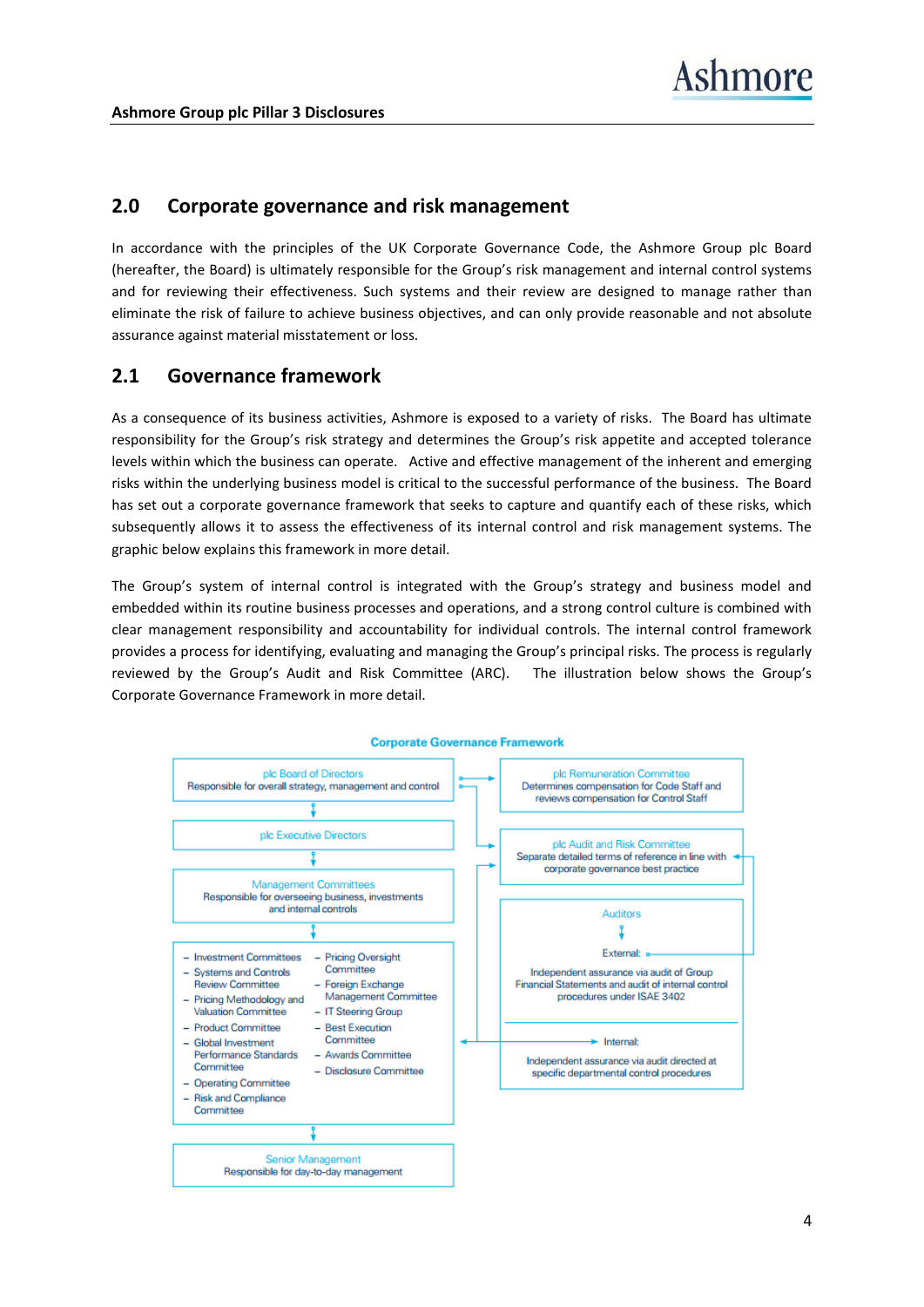# **2.0 Corporate governance and risk management**

In accordance with the principles of the UK Corporate Governance Code, the Ashmore Group plc Board (hereafter, the Board) is ultimately responsible for the Group's risk management and internal control systems and for reviewing their effectiveness. Such systems and their review are designed to manage rather than eliminate the risk of failure to achieve business objectives, and can only provide reasonable and not absolute assurance against material misstatement or loss.

### **2.1 Governance framework**

As a consequence of its business activities, Ashmore is exposed to a variety of risks. The Board has ultimate responsibility for the Group's risk strategy and determines the Group's risk appetite and accepted tolerance levels within which the business can operate. Active and effective management of the inherent and emerging risks within the underlying business model is critical to the successful performance of the business. The Board has set out a corporate governance framework that seeks to capture and quantify each of these risks, which subsequently allows it to assess the effectiveness of its internal control and risk management systems. The graphic below explains this framework in more detail.

The Group's system of internal control is integrated with the Group's strategy and business model and embedded within its routine business processes and operations, and a strong control culture is combined with clear management responsibility and accountability for individual controls. The internal control framework provides a process for identifying, evaluating and managing the Group's principal risks. The process is regularly reviewed by the Group's Audit and Risk Committee (ARC). The illustration below shows the Group's Corporate Governance Framework in more detail.

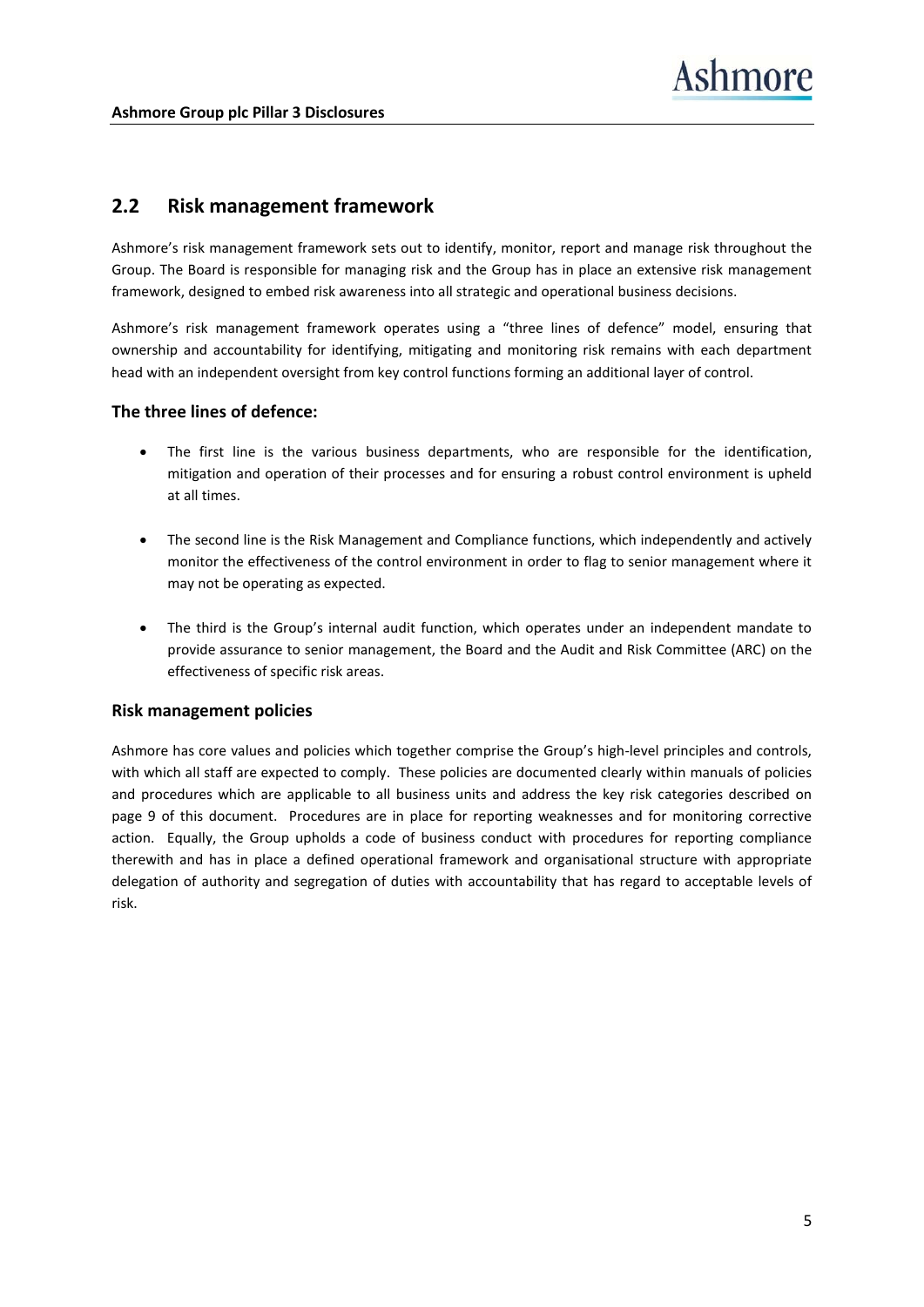### **2.2 Risk management framework**

Ashmore's risk management framework sets out to identify, monitor, report and manage risk throughout the Group. The Board is responsible for managing risk and the Group has in place an extensive risk management framework, designed to embed risk awareness into all strategic and operational business decisions.

Ashmore's risk management framework operates using a "three lines of defence" model, ensuring that ownership and accountability for identifying, mitigating and monitoring risk remains with each department head with an independent oversight from key control functions forming an additional layer of control.

#### **The three lines of defence:**

- The first line is the various business departments, who are responsible for the identification, mitigation and operation of their processes and for ensuring a robust control environment is upheld at all times.
- The second line is the Risk Management and Compliance functions, which independently and actively monitor the effectiveness of the control environment in order to flag to senior management where it may not be operating as expected.
- The third is the Group's internal audit function, which operates under an independent mandate to provide assurance to senior management, the Board and the Audit and Risk Committee (ARC) on the effectiveness of specific risk areas.

#### **Risk management policies**

Ashmore has core values and policies which together comprise the Group's high-level principles and controls, with which all staff are expected to comply. These policies are documented clearly within manuals of policies and procedures which are applicable to all business units and address the key risk categories described on page 9 of this document. Procedures are in place for reporting weaknesses and for monitoring corrective action. Equally, the Group upholds a code of business conduct with procedures for reporting compliance therewith and has in place a defined operational framework and organisational structure with appropriate delegation of authority and segregation of duties with accountability that has regard to acceptable levels of risk.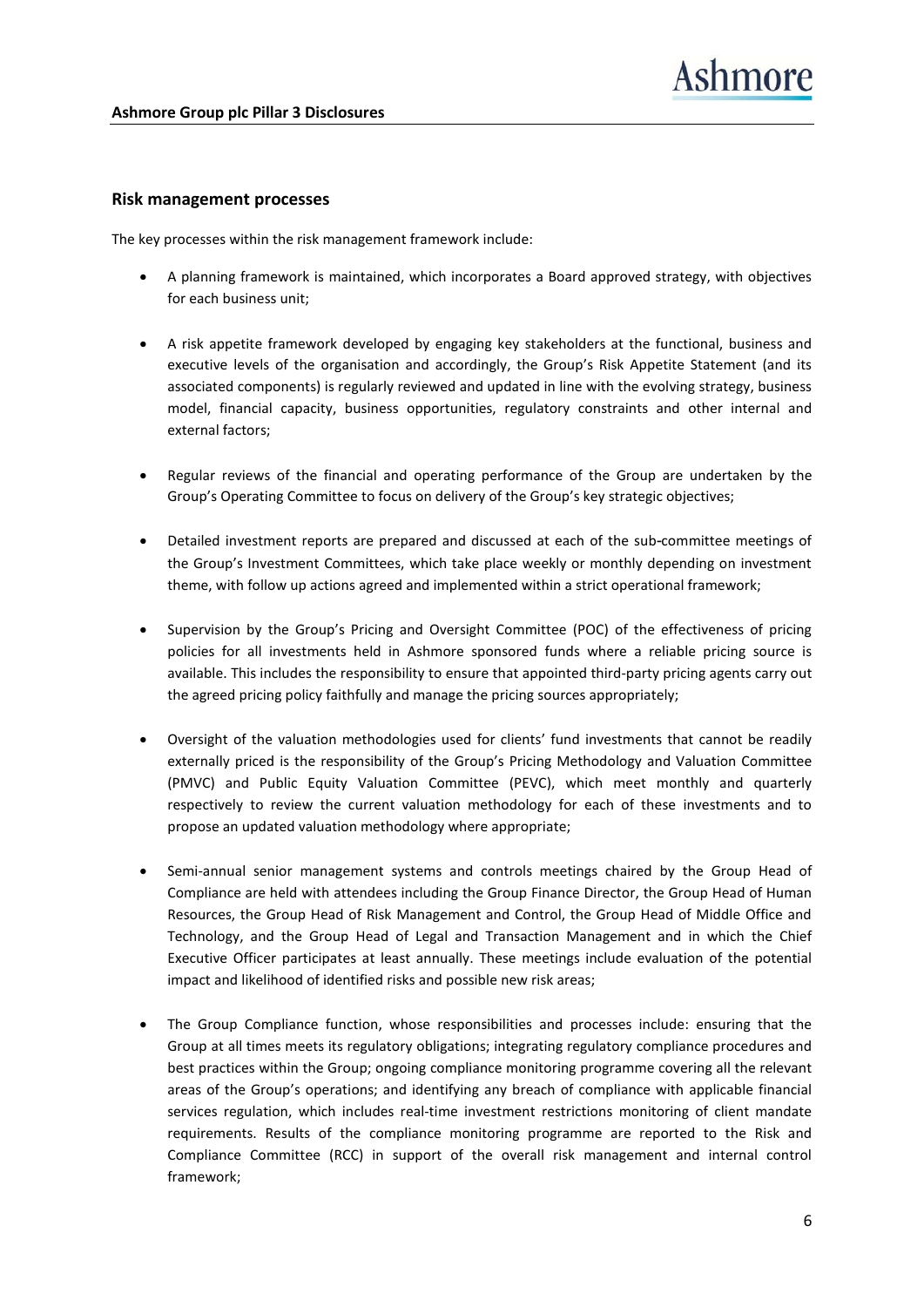#### **Risk management processes**

The key processes within the risk management framework include:

- A planning framework is maintained, which incorporates a Board approved strategy, with objectives for each business unit;
- A risk appetite framework developed by engaging key stakeholders at the functional, business and executive levels of the organisation and accordingly, the Group's Risk Appetite Statement (and its associated components) is regularly reviewed and updated in line with the evolving strategy, business model, financial capacity, business opportunities, regulatory constraints and other internal and external factors;
- Regular reviews of the financial and operating performance of the Group are undertaken by the Group's Operating Committee to focus on delivery of the Group's key strategic objectives;
- Detailed investment reports are prepared and discussed at each of the sub-committee meetings of the Group's Investment Committees, which take place weekly or monthly depending on investment theme, with follow up actions agreed and implemented within a strict operational framework;
- Supervision by the Group's Pricing and Oversight Committee (POC) of the effectiveness of pricing policies for all investments held in Ashmore sponsored funds where a reliable pricing source is available. This includes the responsibility to ensure that appointed third-party pricing agents carry out the agreed pricing policy faithfully and manage the pricing sources appropriately;
- Oversight of the valuation methodologies used for clients' fund investments that cannot be readily externally priced is the responsibility of the Group's Pricing Methodology and Valuation Committee (PMVC) and Public Equity Valuation Committee (PEVC), which meet monthly and quarterly respectively to review the current valuation methodology for each of these investments and to propose an updated valuation methodology where appropriate;
- Semi-annual senior management systems and controls meetings chaired by the Group Head of Compliance are held with attendees including the Group Finance Director, the Group Head of Human Resources, the Group Head of Risk Management and Control, the Group Head of Middle Office and Technology, and the Group Head of Legal and Transaction Management and in which the Chief Executive Officer participates at least annually. These meetings include evaluation of the potential impact and likelihood of identified risks and possible new risk areas;
- The Group Compliance function, whose responsibilities and processes include: ensuring that the Group at all times meets its regulatory obligations; integrating regulatory compliance procedures and best practices within the Group; ongoing compliance monitoring programme covering all the relevant areas of the Group's operations; and identifying any breach of compliance with applicable financial services regulation, which includes real-time investment restrictions monitoring of client mandate requirements. Results of the compliance monitoring programme are reported to the Risk and Compliance Committee (RCC) in support of the overall risk management and internal control framework;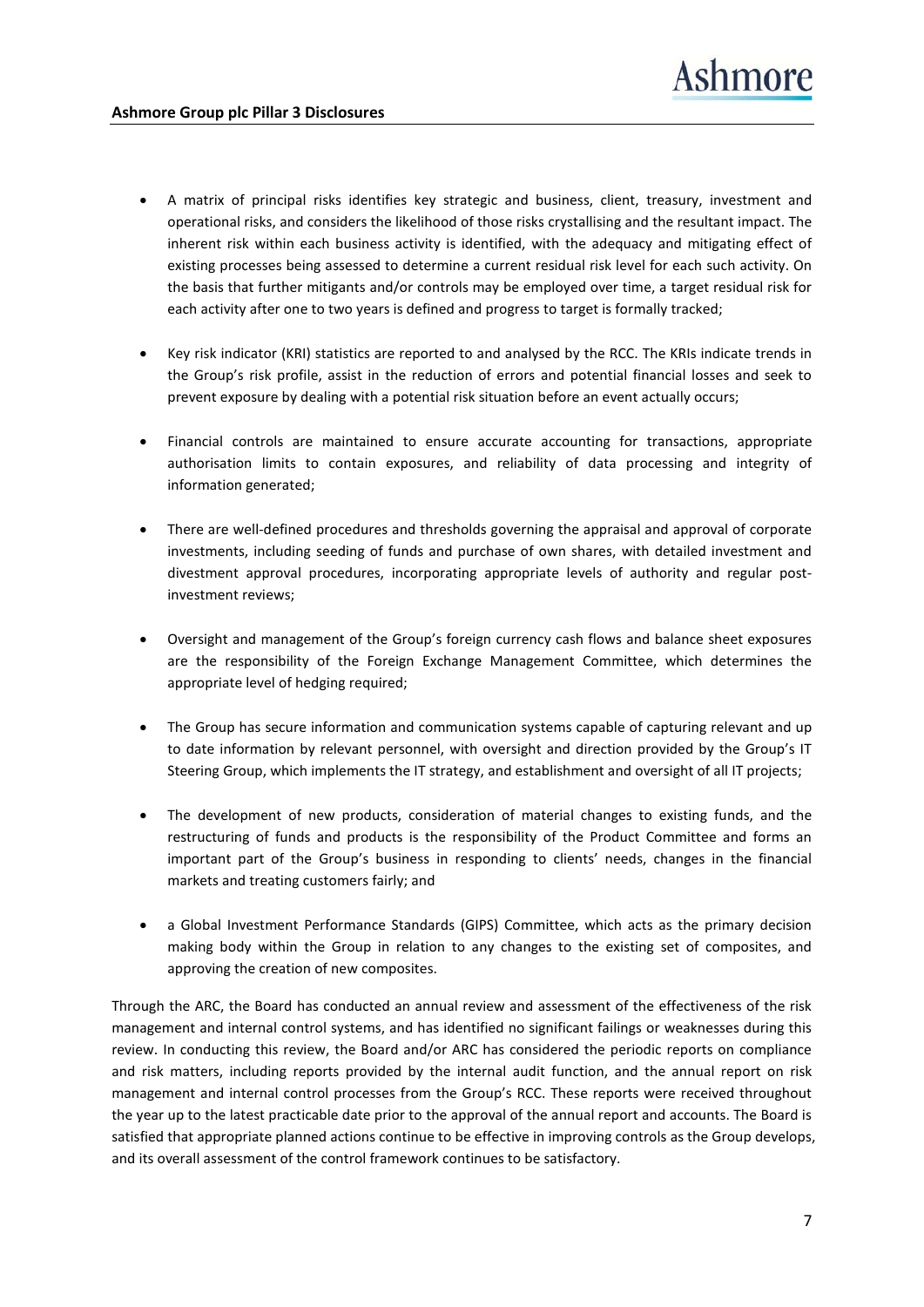- A matrix of principal risks identifies key strategic and business, client, treasury, investment and operational risks, and considers the likelihood of those risks crystallising and the resultant impact. The inherent risk within each business activity is identified, with the adequacy and mitigating effect of existing processes being assessed to determine a current residual risk level for each such activity. On the basis that further mitigants and/or controls may be employed over time, a target residual risk for each activity after one to two years is defined and progress to target is formally tracked;
- Key risk indicator (KRI) statistics are reported to and analysed by the RCC. The KRIs indicate trends in the Group's risk profile, assist in the reduction of errors and potential financial losses and seek to prevent exposure by dealing with a potential risk situation before an event actually occurs;
- Financial controls are maintained to ensure accurate accounting for transactions, appropriate authorisation limits to contain exposures, and reliability of data processing and integrity of information generated;
- There are well-defined procedures and thresholds governing the appraisal and approval of corporate investments, including seeding of funds and purchase of own shares, with detailed investment and divestment approval procedures, incorporating appropriate levels of authority and regular postinvestment reviews;
- Oversight and management of the Group's foreign currency cash flows and balance sheet exposures are the responsibility of the Foreign Exchange Management Committee, which determines the appropriate level of hedging required;
- The Group has secure information and communication systems capable of capturing relevant and up to date information by relevant personnel, with oversight and direction provided by the Group's IT Steering Group, which implements the IT strategy, and establishment and oversight of all IT projects;
- The development of new products, consideration of material changes to existing funds, and the restructuring of funds and products is the responsibility of the Product Committee and forms an important part of the Group's business in responding to clients' needs, changes in the financial markets and treating customers fairly; and
- a Global Investment Performance Standards (GIPS) Committee, which acts as the primary decision making body within the Group in relation to any changes to the existing set of composites, and approving the creation of new composites.

Through the ARC, the Board has conducted an annual review and assessment of the effectiveness of the risk management and internal control systems, and has identified no significant failings or weaknesses during this review. In conducting this review, the Board and/or ARC has considered the periodic reports on compliance and risk matters, including reports provided by the internal audit function, and the annual report on risk management and internal control processes from the Group's RCC. These reports were received throughout the year up to the latest practicable date prior to the approval of the annual report and accounts. The Board is satisfied that appropriate planned actions continue to be effective in improving controls as the Group develops, and its overall assessment of the control framework continues to be satisfactory.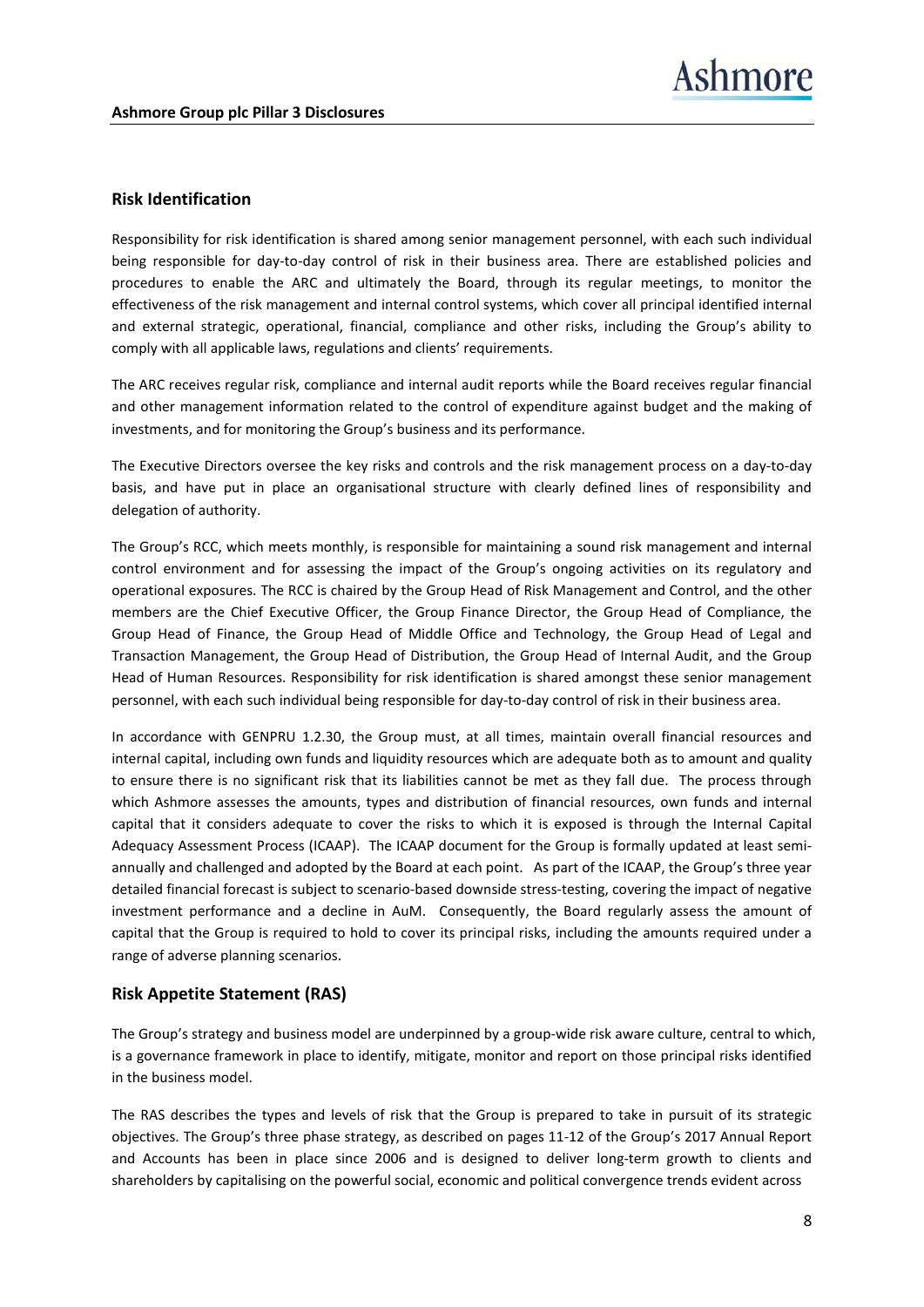#### **Risk Identification**

Responsibility for risk identification is shared among senior management personnel, with each such individual being responsible for day-to-day control of risk in their business area. There are established policies and procedures to enable the ARC and ultimately the Board, through its regular meetings, to monitor the effectiveness of the risk management and internal control systems, which cover all principal identified internal and external strategic, operational, financial, compliance and other risks, including the Group's ability to comply with all applicable laws, regulations and clients' requirements.

The ARC receives regular risk, compliance and internal audit reports while the Board receives regular financial and other management information related to the control of expenditure against budget and the making of investments, and for monitoring the Group's business and its performance.

The Executive Directors oversee the key risks and controls and the risk management process on a day-to-day basis, and have put in place an organisational structure with clearly defined lines of responsibility and delegation of authority.

The Group's RCC, which meets monthly, is responsible for maintaining a sound risk management and internal control environment and for assessing the impact of the Group's ongoing activities on its regulatory and operational exposures. The RCC is chaired by the Group Head of Risk Management and Control, and the other members are the Chief Executive Officer, the Group Finance Director, the Group Head of Compliance, the Group Head of Finance, the Group Head of Middle Office and Technology, the Group Head of Legal and Transaction Management, the Group Head of Distribution, the Group Head of Internal Audit, and the Group Head of Human Resources. Responsibility for risk identification is shared amongst these senior management personnel, with each such individual being responsible for day-to-day control of risk in their business area.

In accordance with GENPRU 1.2.30, the Group must, at all times, maintain overall financial resources and internal capital, including own funds and liquidity resources which are adequate both as to amount and quality to ensure there is no significant risk that its liabilities cannot be met as they fall due. The process through which Ashmore assesses the amounts, types and distribution of financial resources, own funds and internal capital that it considers adequate to cover the risks to which it is exposed is through the Internal Capital Adequacy Assessment Process (ICAAP). The ICAAP document for the Group is formally updated at least semiannually and challenged and adopted by the Board at each point. As part of the ICAAP, the Group's three year detailed financial forecast is subject to scenario-based downside stress-testing, covering the impact of negative investment performance and a decline in AuM. Consequently, the Board regularly assess the amount of capital that the Group is required to hold to cover its principal risks, including the amounts required under a range of adverse planning scenarios.

#### **Risk Appetite Statement (RAS)**

The Group's strategy and business model are underpinned by a group-wide risk aware culture, central to which, is a governance framework in place to identify, mitigate, monitor and report on those principal risks identified in the business model.

The RAS describes the types and levels of risk that the Group is prepared to take in pursuit of its strategic objectives. The Group's three phase strategy, as described on pages 11-12 of the Group's 2017 Annual Report and Accounts has been in place since 2006 and is designed to deliver long-term growth to clients and shareholders by capitalising on the powerful social, economic and political convergence trends evident across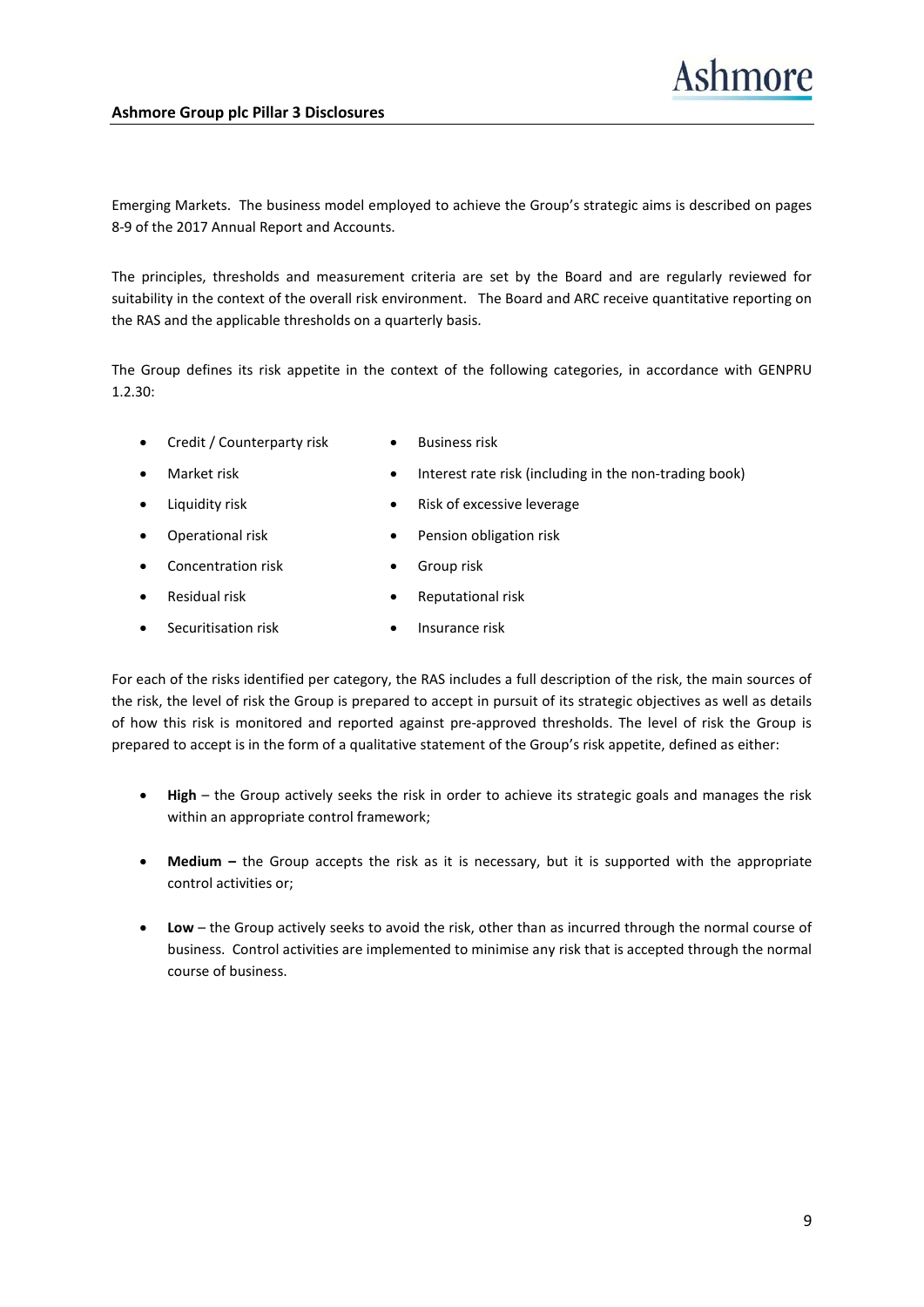#### **Ashmore Group plc Pillar 3 Disclosures**

Emerging Markets. The business model employed to achieve the Group's strategic aims is described on pages 8-9 of the 2017 Annual Report and Accounts.

The principles, thresholds and measurement criteria are set by the Board and are regularly reviewed for suitability in the context of the overall risk environment. The Board and ARC receive quantitative reporting on the RAS and the applicable thresholds on a quarterly basis.

The Group defines its risk appetite in the context of the following categories, in accordance with GENPRU 1.2.30:

- Credit / Counterparty risk Business risk
- 
- Market risk Interest rate risk (including in the non-trading book)
	-
- Liquidity risk Risk of excessive leverage
	-
- Operational risk Pension obligation risk
- Concentration risk Group risk
- **Residual risk by Reputational risk**
- Securitisation risk Insurance risk

For each of the risks identified per category, the RAS includes a full description of the risk, the main sources of the risk, the level of risk the Group is prepared to accept in pursuit of its strategic objectives as well as details of how this risk is monitored and reported against pre-approved thresholds. The level of risk the Group is prepared to accept is in the form of a qualitative statement of the Group's risk appetite, defined as either:

- **High**  the Group actively seeks the risk in order to achieve its strategic goals and manages the risk within an appropriate control framework;
- **Medium** the Group accepts the risk as it is necessary, but it is supported with the appropriate control activities or;
- **Low** the Group actively seeks to avoid the risk, other than as incurred through the normal course of business. Control activities are implemented to minimise any risk that is accepted through the normal course of business.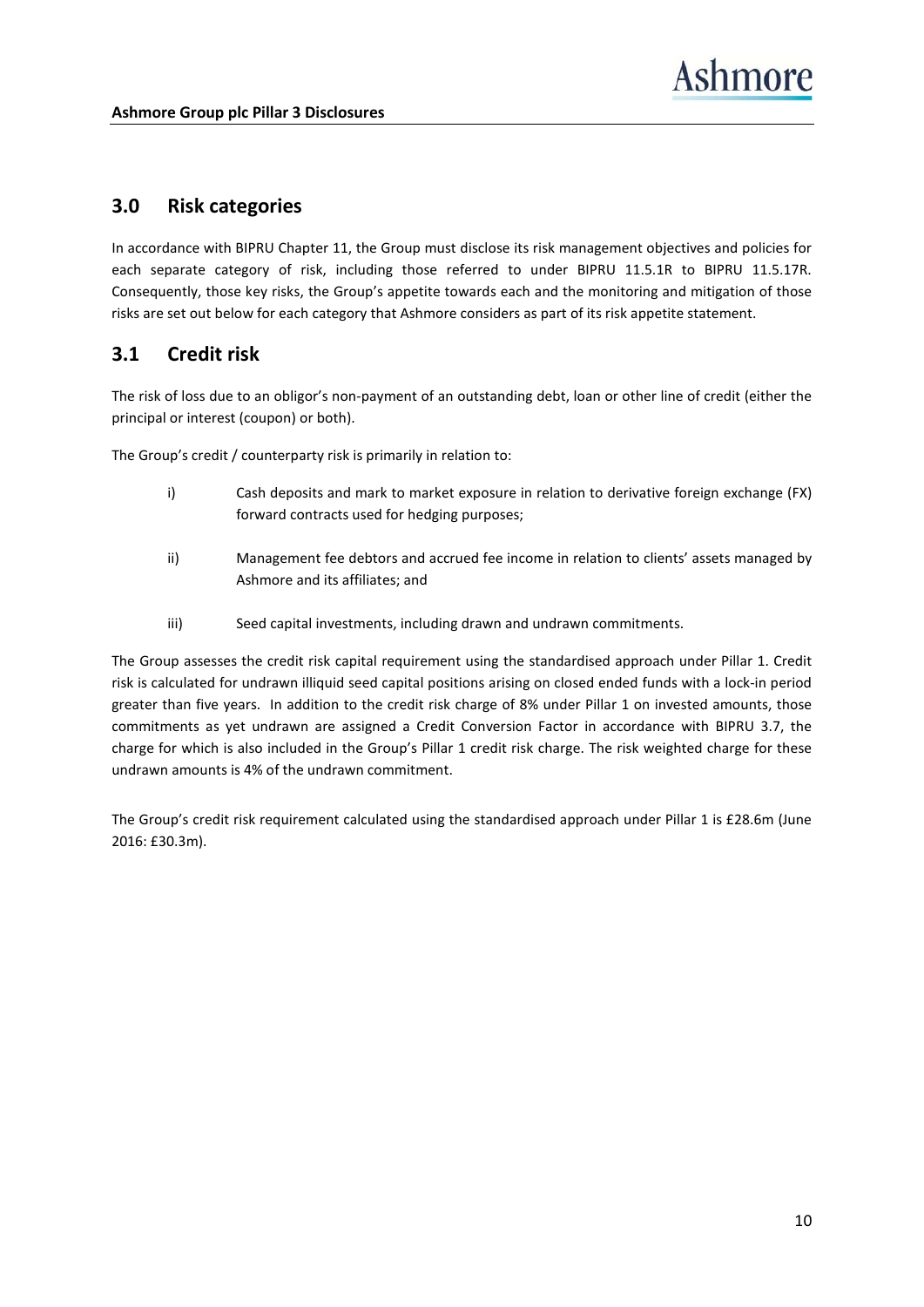### **3.0 Risk categories**

In accordance with BIPRU Chapter 11, the Group must disclose its risk management objectives and policies for each separate category of risk, including those referred to under BIPRU 11.5.1R to BIPRU 11.5.17R. Consequently, those key risks, the Group's appetite towards each and the monitoring and mitigation of those risks are set out below for each category that Ashmore considers as part of its risk appetite statement.

# **3.1 Credit risk**

The risk of loss due to an obligor's non-payment of an outstanding debt, loan or other line of credit (either the principal or interest (coupon) or both).

The Group's credit / counterparty risk is primarily in relation to:

- i) Cash deposits and mark to market exposure in relation to derivative foreign exchange (FX) forward contracts used for hedging purposes;
- ii) Management fee debtors and accrued fee income in relation to clients' assets managed by Ashmore and its affiliates; and
- iii) Seed capital investments, including drawn and undrawn commitments.

The Group assesses the credit risk capital requirement using the standardised approach under Pillar 1. Credit risk is calculated for undrawn illiquid seed capital positions arising on closed ended funds with a lock-in period greater than five years. In addition to the credit risk charge of 8% under Pillar 1 on invested amounts, those commitments as yet undrawn are assigned a Credit Conversion Factor in accordance with BIPRU 3.7, the charge for which is also included in the Group's Pillar 1 credit risk charge. The risk weighted charge for these undrawn amounts is 4% of the undrawn commitment.

The Group's credit risk requirement calculated using the standardised approach under Pillar 1 is £28.6m (June 2016: £30.3m).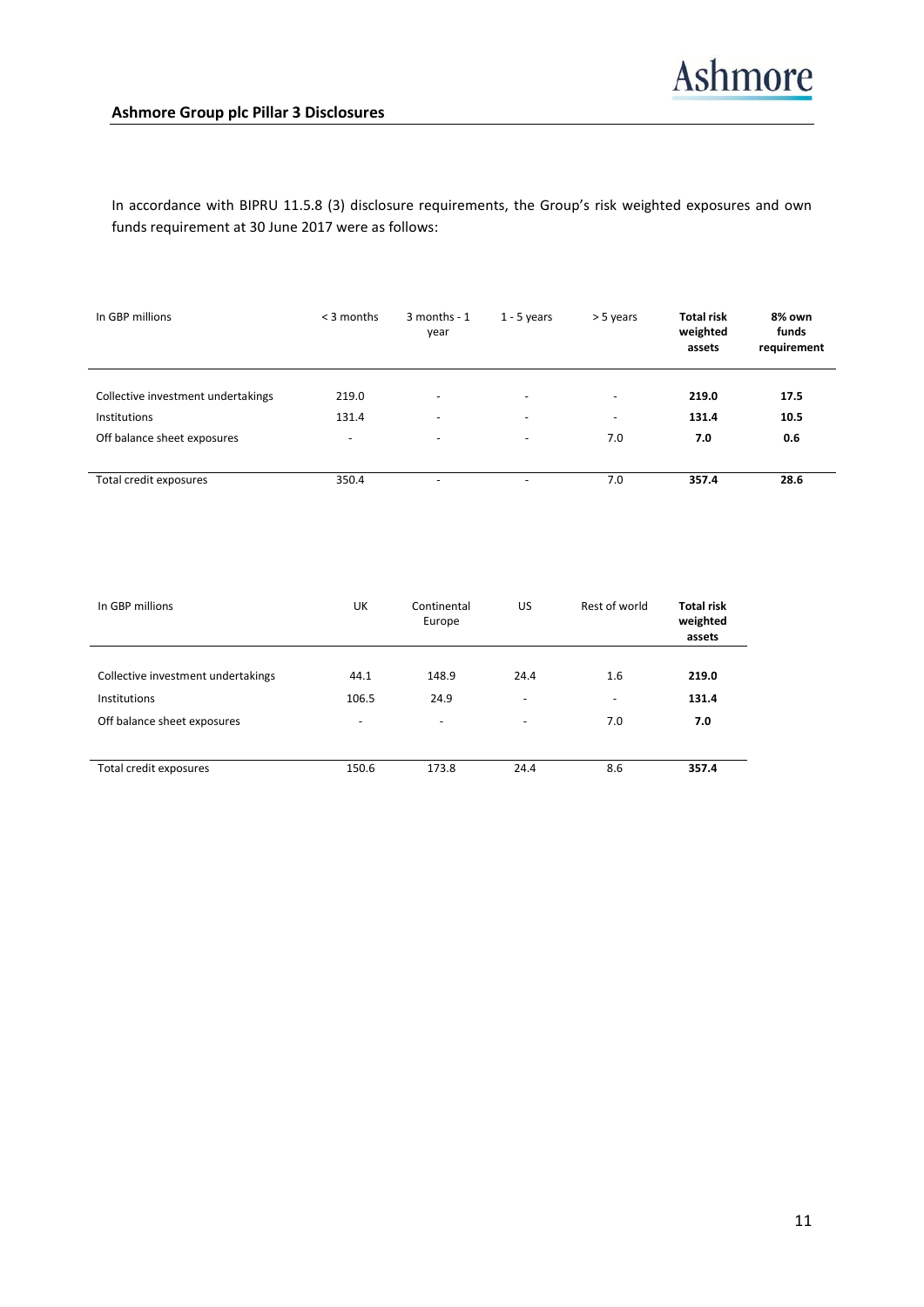In accordance with BIPRU 11.5.8 (3) disclosure requirements, the Group's risk weighted exposures and own funds requirement at 30 June 2017 were as follows:

| In GBP millions                    | $<$ 3 months             | $3$ months - $1$<br>year | $1 - 5$ years            | > 5 years                | <b>Total risk</b><br>weighted<br>assets | 8% own<br>funds<br>requirement |
|------------------------------------|--------------------------|--------------------------|--------------------------|--------------------------|-----------------------------------------|--------------------------------|
|                                    |                          |                          |                          |                          |                                         |                                |
| Collective investment undertakings | 219.0                    | $\overline{\phantom{a}}$ | $\overline{\phantom{0}}$ | $\overline{\phantom{a}}$ | 219.0                                   | 17.5                           |
| <b>Institutions</b>                | 131.4                    | $\overline{\phantom{0}}$ | $\overline{\phantom{0}}$ | $\overline{\phantom{a}}$ | 131.4                                   | 10.5                           |
| Off balance sheet exposures        | $\overline{\phantom{a}}$ | $\overline{\phantom{a}}$ | $\overline{\phantom{0}}$ | 7.0                      | 7.0                                     | 0.6                            |
|                                    |                          |                          |                          |                          |                                         |                                |
| Total credit exposures             | 350.4                    | $\overline{\phantom{a}}$ | $\overline{\phantom{0}}$ | 7.0                      | 357.4                                   | 28.6                           |

| In GBP millions                    | UK                       | Continental<br>Europe    | US                       | Rest of world            | <b>Total risk</b><br>weighted<br>assets |
|------------------------------------|--------------------------|--------------------------|--------------------------|--------------------------|-----------------------------------------|
|                                    |                          |                          |                          |                          |                                         |
| Collective investment undertakings | 44.1                     | 148.9                    | 24.4                     | 1.6                      | 219.0                                   |
| <b>Institutions</b>                | 106.5                    | 24.9                     | $\overline{\phantom{0}}$ | $\overline{\phantom{0}}$ | 131.4                                   |
| Off balance sheet exposures        | $\overline{\phantom{a}}$ | $\overline{\phantom{0}}$ | $\overline{\phantom{0}}$ | 7.0                      | 7.0                                     |
|                                    |                          |                          |                          |                          |                                         |
| Total credit exposures             | 150.6                    | 173.8                    | 24.4                     | 8.6                      | 357.4                                   |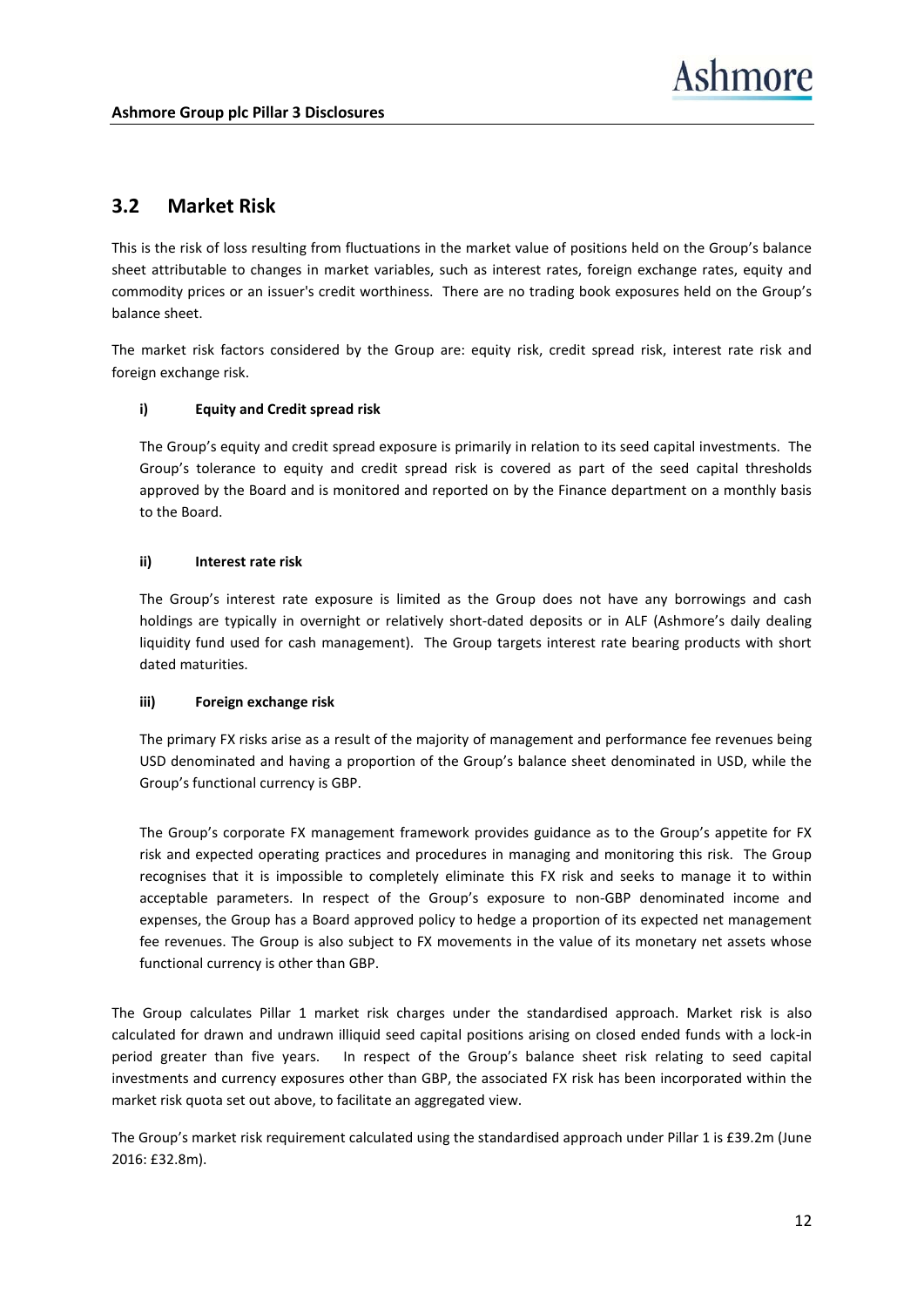### **3.2 Market Risk**

This is the risk of loss resulting from fluctuations in the market value of positions held on the Group's balance sheet attributable to changes in market variables, such as interest rates, foreign exchange rates, equity and commodity prices or an issuer's credit worthiness. There are no trading book exposures held on the Group's balance sheet.

The market risk factors considered by the Group are: equity risk, credit spread risk, interest rate risk and foreign exchange risk.

#### **i) Equity and Credit spread risk**

The Group's equity and credit spread exposure is primarily in relation to its seed capital investments. The Group's tolerance to equity and credit spread risk is covered as part of the seed capital thresholds approved by the Board and is monitored and reported on by the Finance department on a monthly basis to the Board.

#### **ii) Interest rate risk**

The Group's interest rate exposure is limited as the Group does not have any borrowings and cash holdings are typically in overnight or relatively short-dated deposits or in ALF (Ashmore's daily dealing liquidity fund used for cash management). The Group targets interest rate bearing products with short dated maturities.

#### **iii) Foreign exchange risk**

The primary FX risks arise as a result of the majority of management and performance fee revenues being USD denominated and having a proportion of the Group's balance sheet denominated in USD, while the Group's functional currency is GBP.

The Group's corporate FX management framework provides guidance as to the Group's appetite for FX risk and expected operating practices and procedures in managing and monitoring this risk. The Group recognises that it is impossible to completely eliminate this FX risk and seeks to manage it to within acceptable parameters. In respect of the Group's exposure to non-GBP denominated income and expenses, the Group has a Board approved policy to hedge a proportion of its expected net management fee revenues. The Group is also subject to FX movements in the value of its monetary net assets whose functional currency is other than GBP.

The Group calculates Pillar 1 market risk charges under the standardised approach. Market risk is also calculated for drawn and undrawn illiquid seed capital positions arising on closed ended funds with a lock-in period greater than five years. In respect of the Group's balance sheet risk relating to seed capital investments and currency exposures other than GBP, the associated FX risk has been incorporated within the market risk quota set out above, to facilitate an aggregated view.

The Group's market risk requirement calculated using the standardised approach under Pillar 1 is £39.2m (June 2016: £32.8m).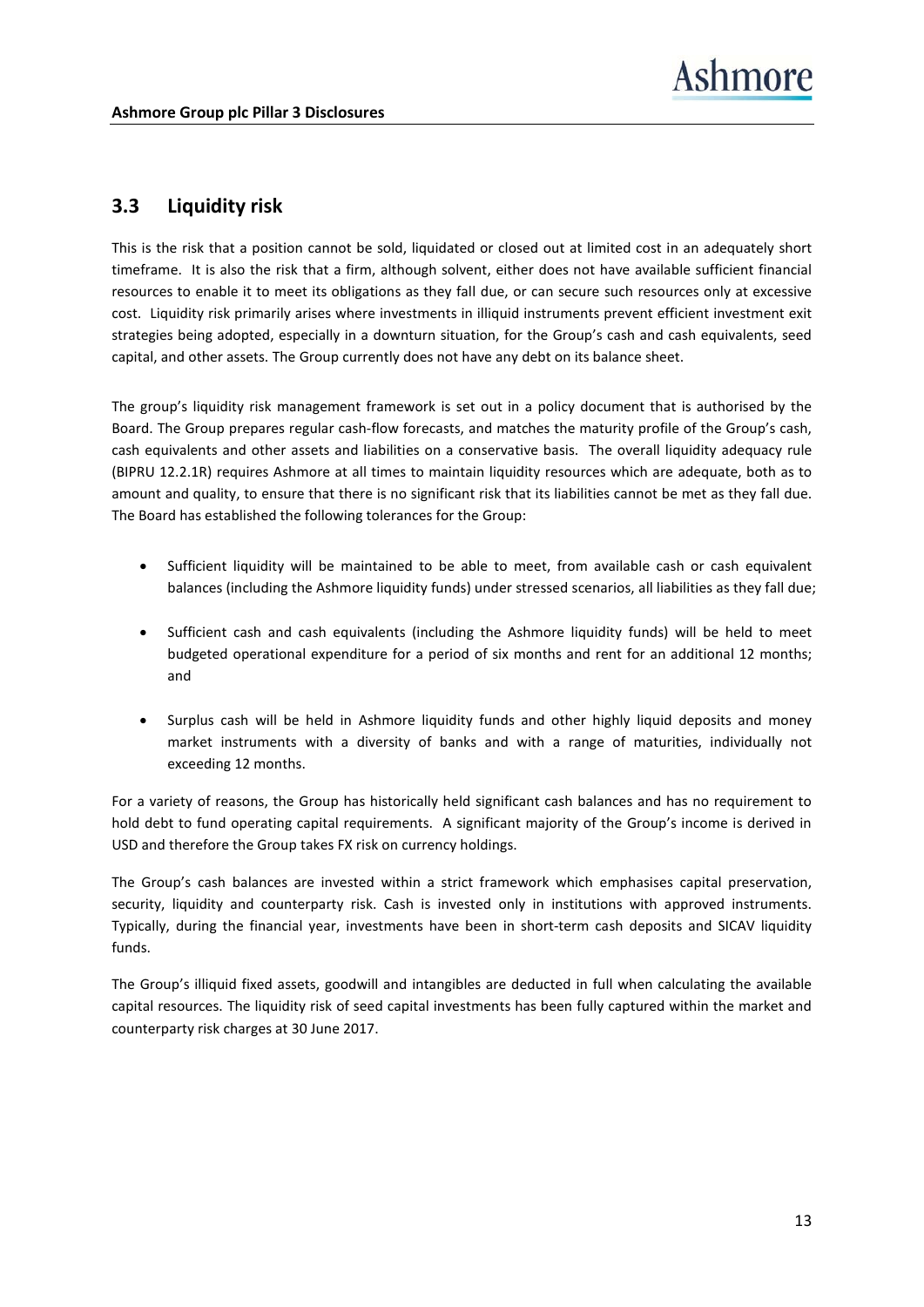# **3.3 Liquidity risk**

This is the risk that a position cannot be sold, liquidated or closed out at limited cost in an adequately short timeframe. It is also the risk that a [firm,](https://www.handbook.fca.org.uk/handbook/glossary/G430.html) although solvent, either does not have available sufficient financial resources to enable it to meet its obligations as they fall due, or can secure such resources only at excessive cost. Liquidity risk primarily arises where investments in illiquid instruments prevent efficient investment exit strategies being adopted, especially in a downturn situation, for the Group's cash and cash equivalents, seed capital, and other assets. The Group currently does not have any debt on its balance sheet.

The group's liquidity risk management framework is set out in a policy document that is authorised by the Board. The Group prepares regular cash-flow forecasts, and matches the maturity profile of the Group's cash, cash equivalents and other assets and liabilities on a conservative basis. The overall liquidity adequacy rule (BIPRU 12.2.1R) requires Ashmore at all times to maintain liquidity resources which are adequate, both as to amount and quality, to ensure that there is no significant risk that its liabilities cannot be met as they fall due. The Board has established the following tolerances for the Group:

- Sufficient liquidity will be maintained to be able to meet, from available cash or cash equivalent balances (including the Ashmore liquidity funds) under stressed scenarios, all liabilities as they fall due;
- Sufficient cash and cash equivalents (including the Ashmore liquidity funds) will be held to meet budgeted operational expenditure for a period of six months and rent for an additional 12 months; and
- Surplus cash will be held in Ashmore liquidity funds and other highly liquid deposits and money market instruments with a diversity of banks and with a range of maturities, individually not exceeding 12 months.

For a variety of reasons, the Group has historically held significant cash balances and has no requirement to hold debt to fund operating capital requirements. A significant majority of the Group's income is derived in USD and therefore the Group takes FX risk on currency holdings.

The Group's cash balances are invested within a strict framework which emphasises capital preservation, security, liquidity and counterparty risk. Cash is invested only in institutions with approved instruments. Typically, during the financial year, investments have been in short-term cash deposits and SICAV liquidity funds.

The Group's illiquid fixed assets, goodwill and intangibles are deducted in full when calculating the available capital resources. The liquidity risk of seed capital investments has been fully captured within the market and counterparty risk charges at 30 June 2017.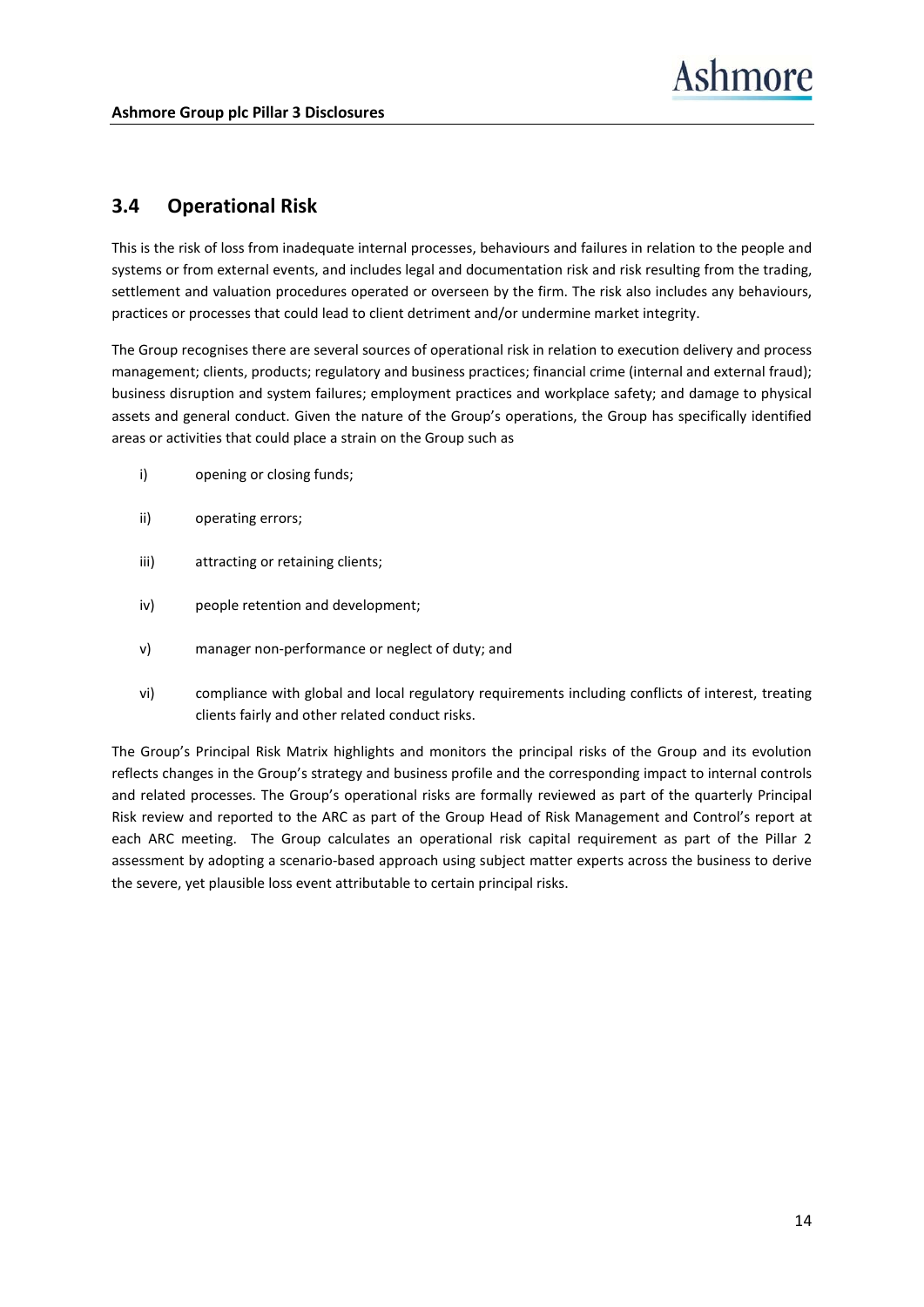### **3.4 Operational Risk**

This is the risk of loss from inadequate internal processes, behaviours and failures in relation to the people and systems or from external events, and includes legal and documentation risk and risk resulting from the trading, settlement and valuation procedures operated or overseen by the firm. The risk also includes any behaviours, practices or processes that could lead to client detriment and/or undermine market integrity.

The Group recognises there are several sources of operational risk in relation to execution delivery and process management; clients, products; regulatory and business practices; financial crime (internal and external fraud); business disruption and system failures; employment practices and workplace safety; and damage to physical assets and general conduct. Given the nature of the Group's operations, the Group has specifically identified areas or activities that could place a strain on the Group such as

- i) opening or closing funds;
- ii) operating errors;
- iii) attracting or retaining clients;
- iv) people retention and development;
- v) manager non-performance or neglect of duty; and
- vi) compliance with global and local regulatory requirements including conflicts of interest, treating clients fairly and other related conduct risks.

The Group's Principal Risk Matrix highlights and monitors the principal risks of the Group and its evolution reflects changes in the Group's strategy and business profile and the corresponding impact to internal controls and related processes. The Group's operational risks are formally reviewed as part of the quarterly Principal Risk review and reported to the ARC as part of the Group Head of Risk Management and Control's report at each ARC meeting. The Group calculates an operational risk capital requirement as part of the Pillar 2 assessment by adopting a scenario-based approach using subject matter experts across the business to derive the severe, yet plausible loss event attributable to certain principal risks.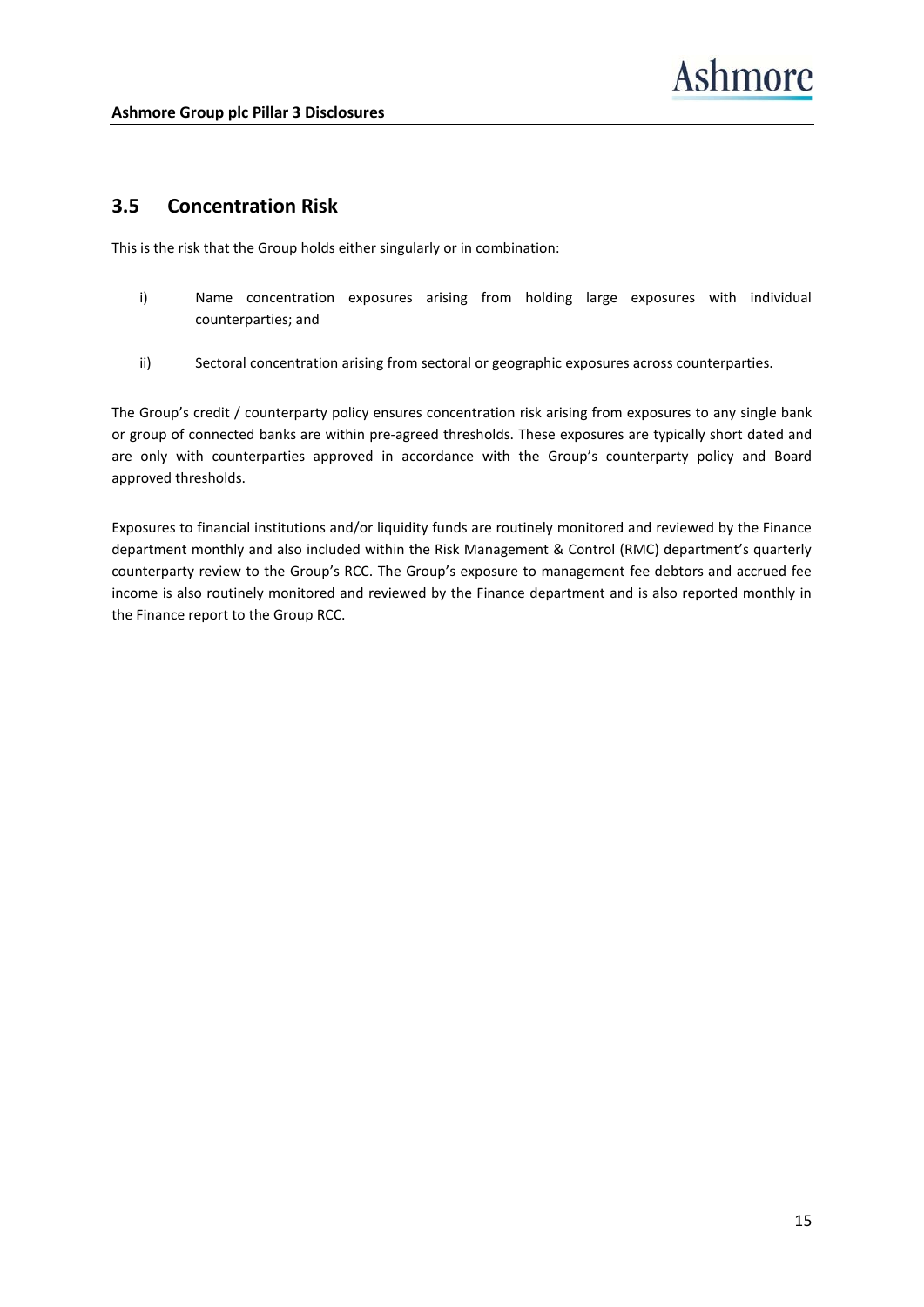### **3.5 Concentration Risk**

This is the risk that the Group holds either singularly or in combination:

- i) Name concentration exposures arising from holding large exposures with individual counterparties; and
- ii) Sectoral concentration arising from sectoral or geographic exposures across counterparties.

The Group's credit / counterparty policy ensures concentration risk arising from exposures to any single bank or group of connected banks are within pre-agreed thresholds. These exposures are typically short dated and are only with counterparties approved in accordance with the Group's counterparty policy and Board approved thresholds.

Exposures to financial institutions and/or liquidity funds are routinely monitored and reviewed by the Finance department monthly and also included within the Risk Management & Control (RMC) department's quarterly counterparty review to the Group's RCC. The Group's exposure to management fee debtors and accrued fee income is also routinely monitored and reviewed by the Finance department and is also reported monthly in the Finance report to the Group RCC.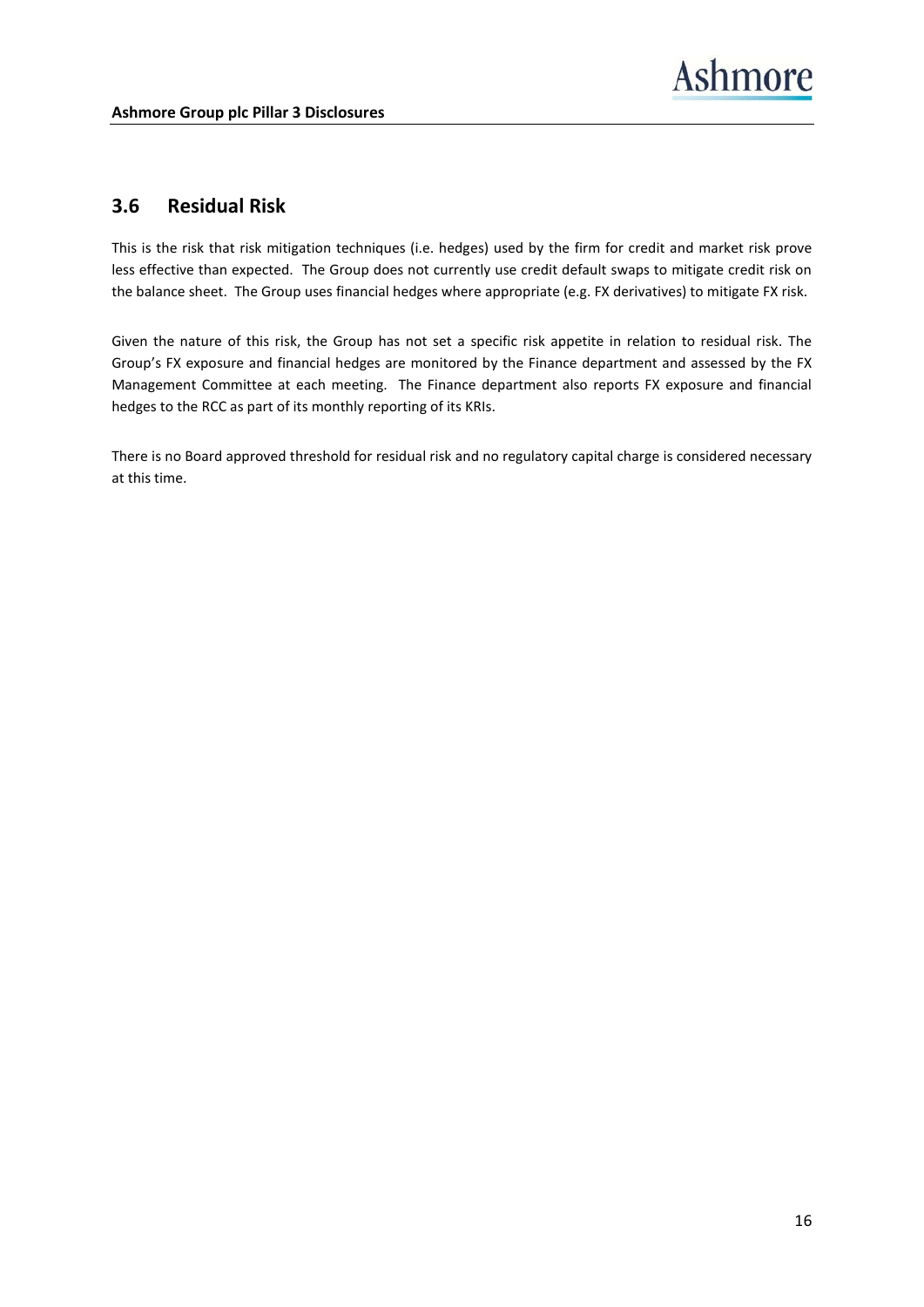### **3.6 Residual Risk**

This is the risk that [risk mitigation](https://www.handbook.fca.org.uk/handbook/glossary/G2092.html) techniques (i.e. hedges) used by the [firm](https://www.handbook.fca.org.uk/handbook/glossary/G430.html) for credit and market risk prove less effective than expected. The Group does not currently use credit default swaps to mitigate credit risk on the balance sheet. The Group uses financial hedges where appropriate (e.g. FX derivatives) to mitigate FX risk.

Given the nature of this risk, the Group has not set a specific risk appetite in relation to residual risk. The Group's FX exposure and financial hedges are monitored by the Finance department and assessed by the FX Management Committee at each meeting. The Finance department also reports FX exposure and financial hedges to the RCC as part of its monthly reporting of its KRIs.

There is no Board approved threshold for residual risk and no regulatory capital charge is considered necessary at this time.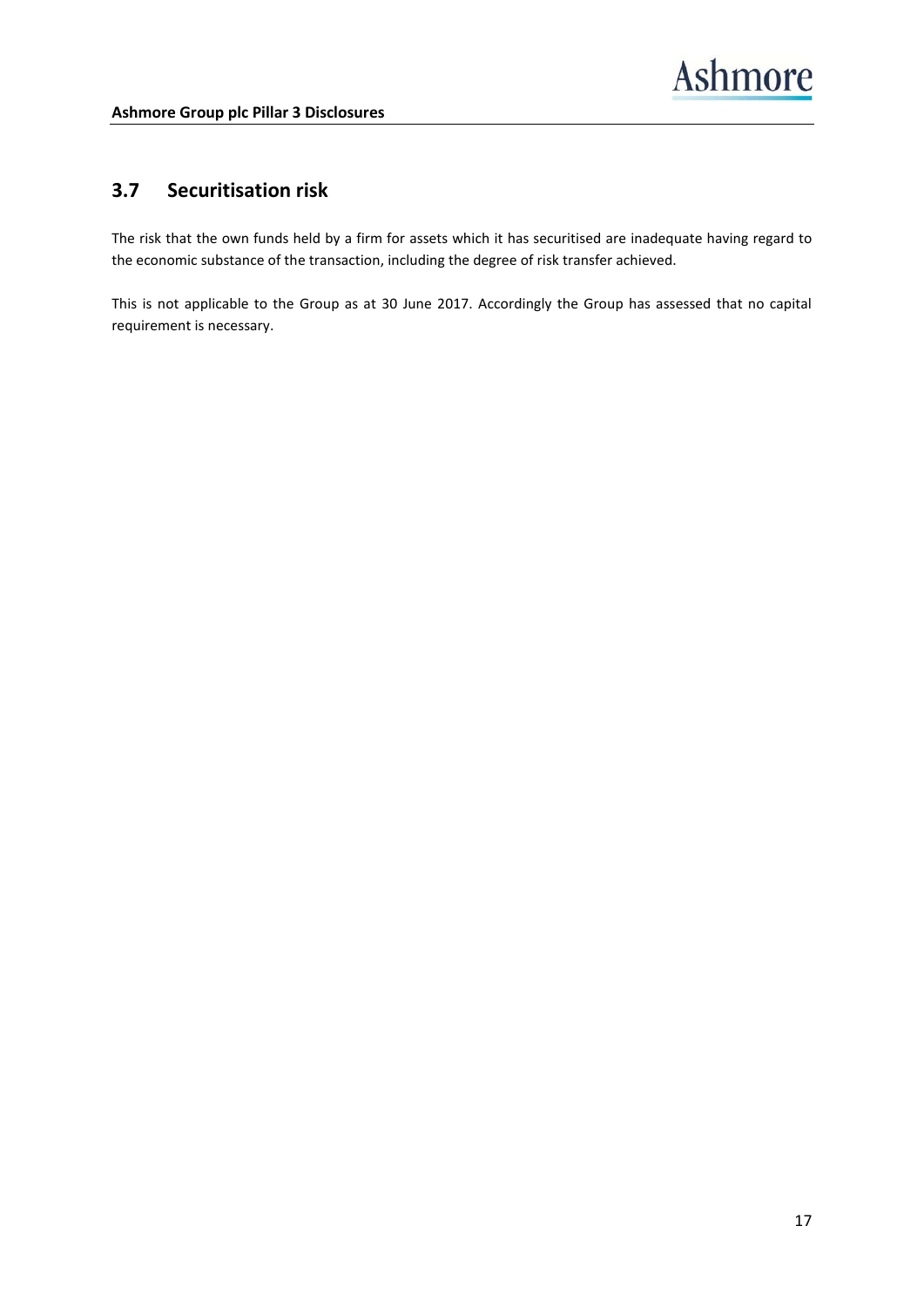# **3.7 Securitisation risk**

The risk that the own funds held by a firm for assets which it has securitised are inadequate having regard to the economic substance of the transaction, including the degree of risk transfer achieved.

This is not applicable to the Group as at 30 June 2017. Accordingly the Group has assessed that no capital requirement is necessary.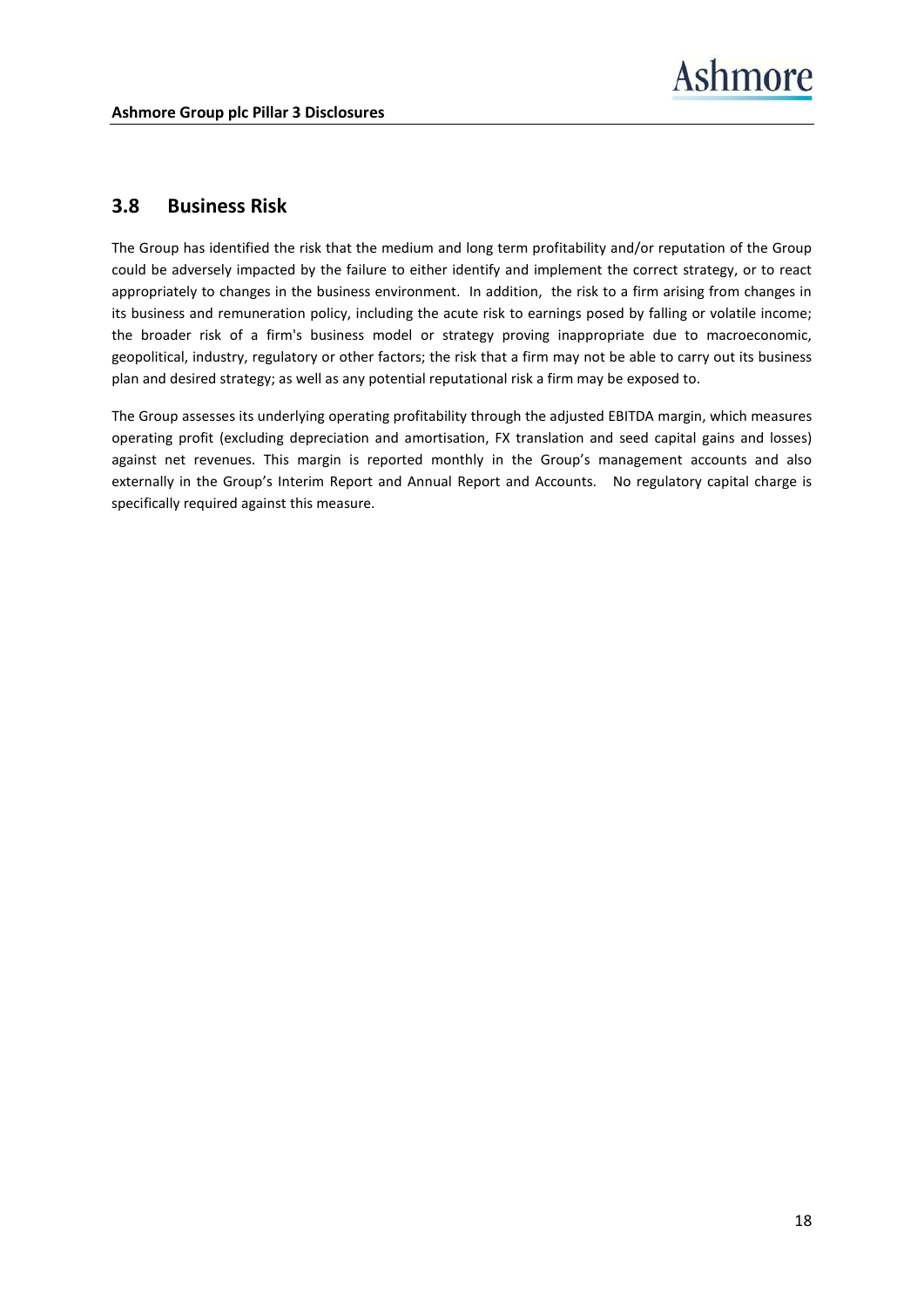### **3.8 Business Risk**

The Group has identified the risk that the medium and long term profitability and/or reputation of the Group could be adversely impacted by the failure to either identify and implement the correct strategy, or to react appropriately to changes in the business environment. In addition, the risk to a [firm](https://www.handbook.fca.org.uk/handbook/glossary/G430.html) arising from changes in its business and remuneration policy, including the acute risk to earnings posed by falling or volatile income; the broader risk of a [firm's](https://www.handbook.fca.org.uk/handbook/glossary/G430.html) business model or strategy proving inappropriate due to macroeconomic, geopolitical, industry, regulatory or other factors; the risk that a [firm](https://www.handbook.fca.org.uk/handbook/glossary/G430.html) may not be able to carry out its business plan and desired strategy; as well as any potential reputational risk a firm may be exposed to.

The Group assesses its underlying operating profitability through the adjusted EBITDA margin, which measures operating profit (excluding depreciation and amortisation, FX translation and seed capital gains and losses) against net revenues. This margin is reported monthly in the Group's management accounts and also externally in the Group's Interim Report and Annual Report and Accounts. No regulatory capital charge is specifically required against this measure.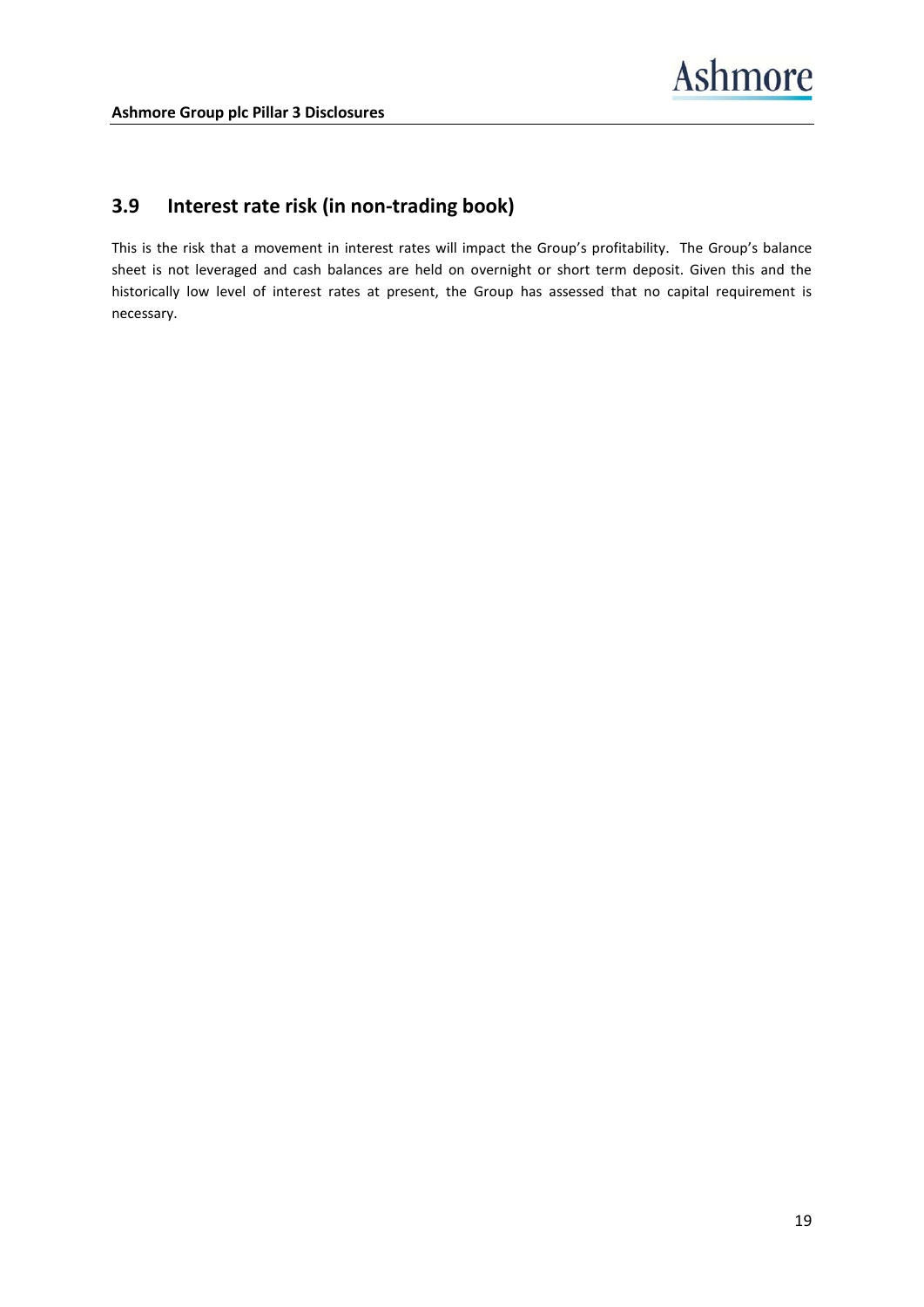# **3.9 Interest rate risk (in non-trading book)**

This is the risk that a movement in interest rates will impact the Group's profitability. The Group's balance sheet is not leveraged and cash balances are held on overnight or short term deposit. Given this and the historically low level of interest rates at present, the Group has assessed that no capital requirement is necessary.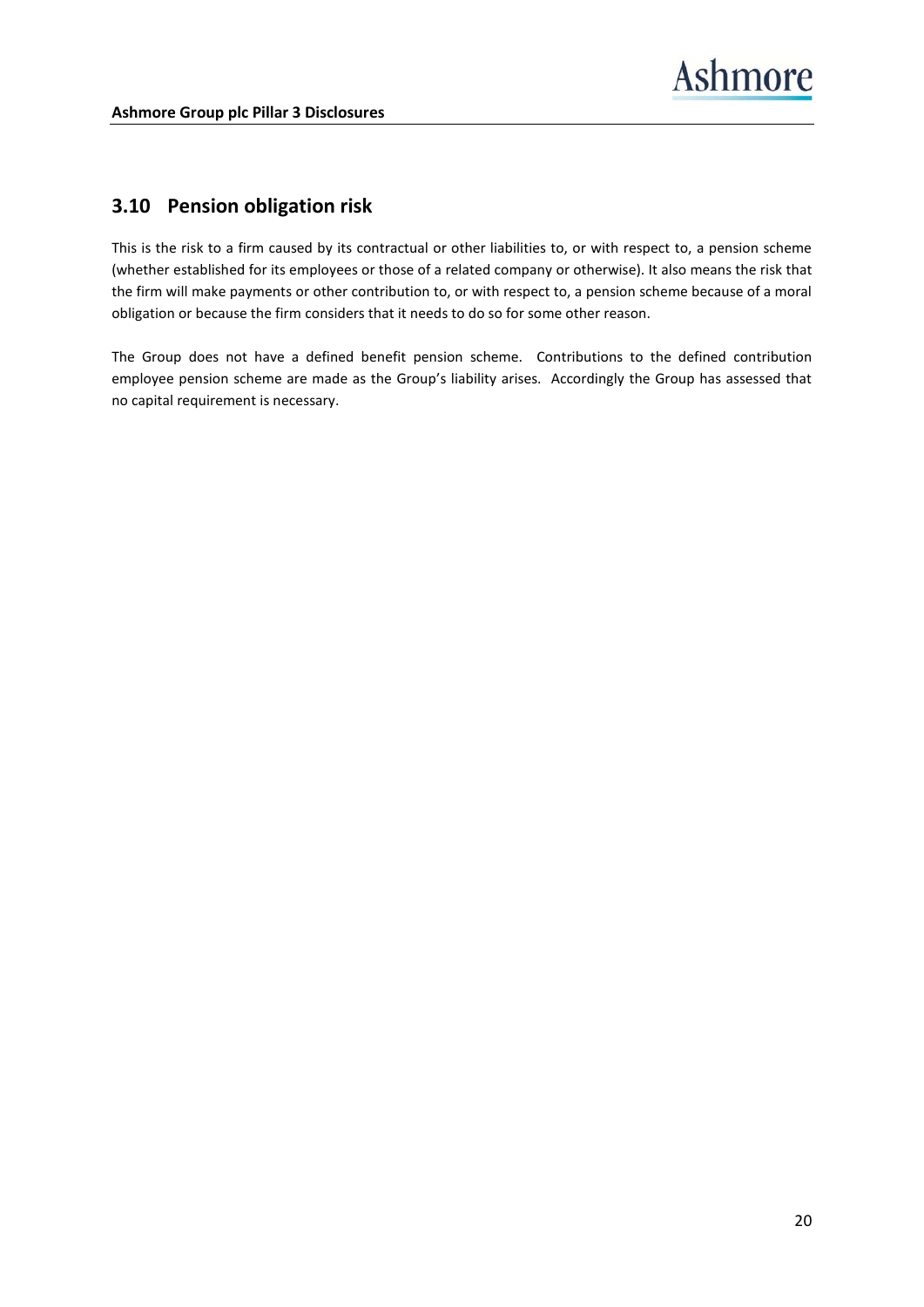### **3.10 Pension obligation risk**

This is the risk to a firm caused by its contractual or other liabilities to, or with respect to, a pension scheme (whether established for its employees or those of a relate[d company](https://www.handbook.fca.org.uk/handbook/glossary/G190.html) or otherwise). It also means the risk that the [firm](https://www.handbook.fca.org.uk/handbook/glossary/G430.html) will make payments or other contribution to, or with respect to, a pension scheme because of a moral obligation or because th[e firm](https://www.handbook.fca.org.uk/handbook/glossary/G430.html) considers that it needs to do so for some other reason.

The Group does not have a defined benefit pension scheme. Contributions to the defined contribution employee pension scheme are made as the Group's liability arises. Accordingly the Group has assessed that no capital requirement is necessary.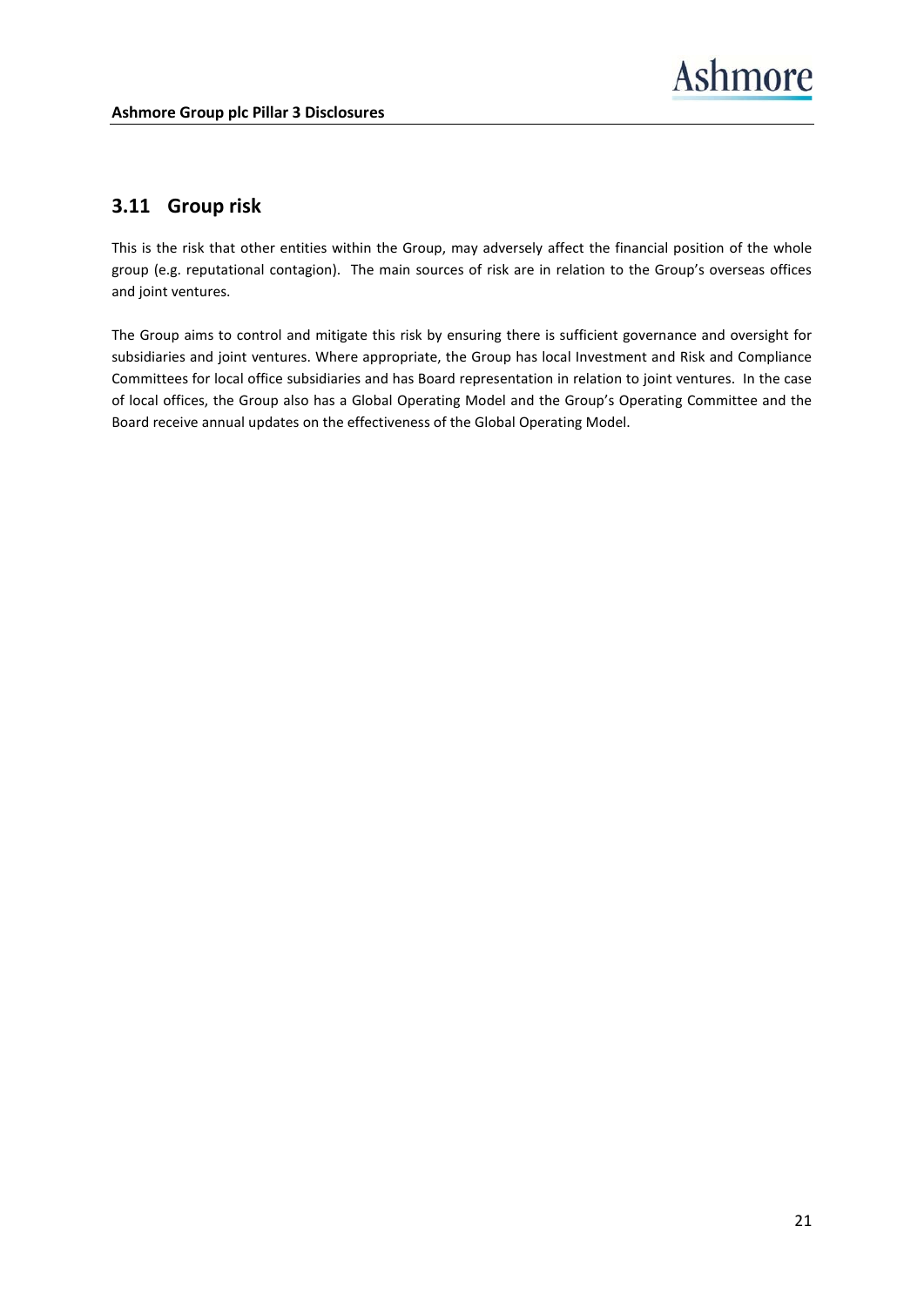### **3.11 Group risk**

This is the risk that other entities within the Group, may adversely affect the financial position of the whole group (e.g. reputational contagion). The main sources of risk are in relation to the Group's overseas offices and joint ventures.

The Group aims to control and mitigate this risk by ensuring there is sufficient governance and oversight for subsidiaries and joint ventures. Where appropriate, the Group has local Investment and Risk and Compliance Committees for local office subsidiaries and has Board representation in relation to joint ventures. In the case of local offices, the Group also has a Global Operating Model and the Group's Operating Committee and the Board receive annual updates on the effectiveness of the Global Operating Model.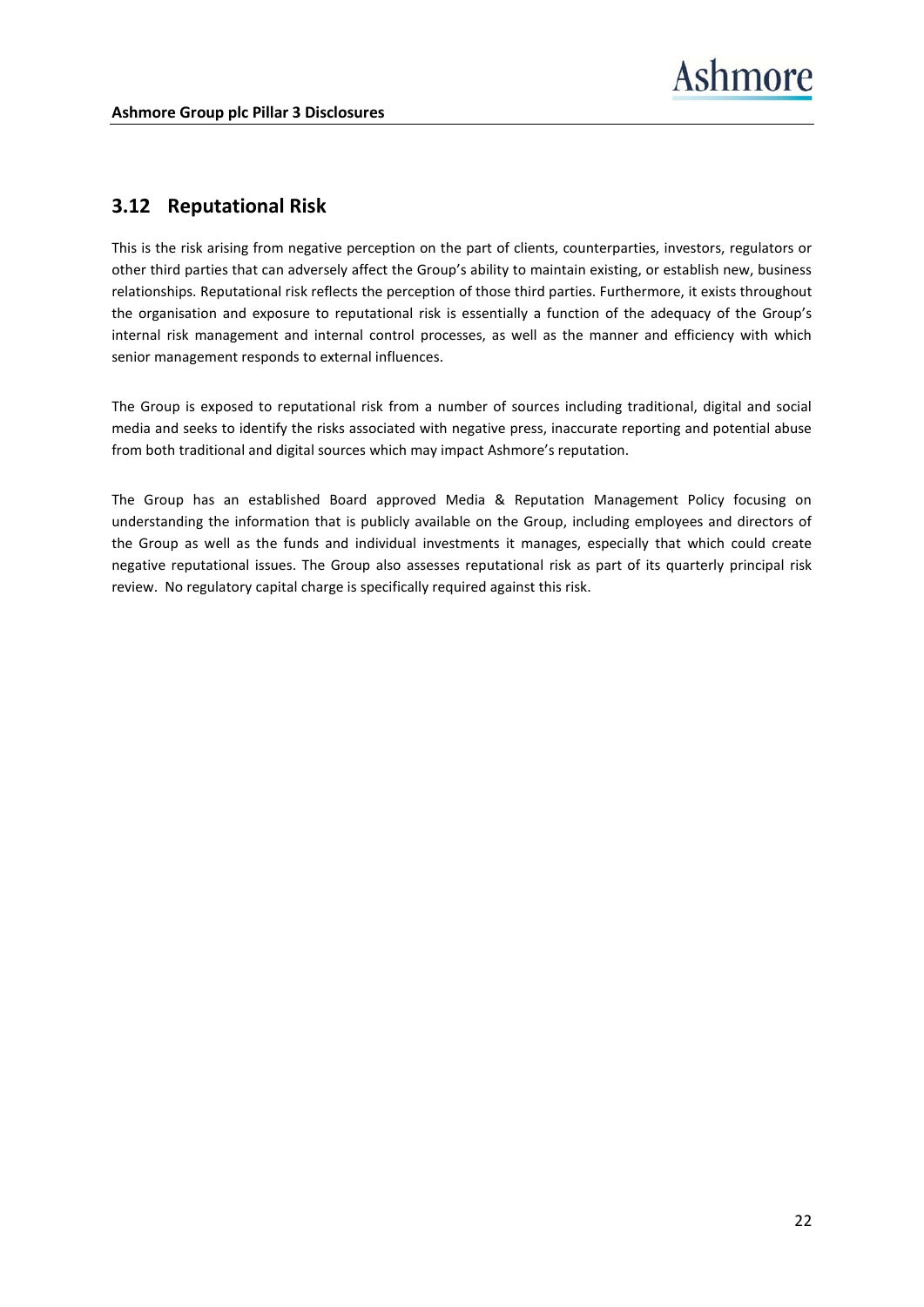# **3.12 Reputational Risk**

This is the risk arising from negative perception on the part of clients, counterparties, investors, regulators or other third parties that can adversely affect the Group's ability to maintain existing, or establish new, business relationships. Reputational risk reflects the perception of those third parties. Furthermore, it exists throughout the organisation and exposure to reputational risk is essentially a function of the adequacy of the Group's internal risk management and internal control processes, as well as the manner and efficiency with which senior management responds to external influences.

The Group is exposed to reputational risk from a number of sources including traditional, digital and social media and seeks to identify the risks associated with negative press, inaccurate reporting and potential abuse from both traditional and digital sources which may impact Ashmore's reputation.

The Group has an established Board approved Media & Reputation Management Policy focusing on understanding the information that is publicly available on the Group, including employees and directors of the Group as well as the funds and individual investments it manages, especially that which could create negative reputational issues. The Group also assesses reputational risk as part of its quarterly principal risk review. No regulatory capital charge is specifically required against this risk.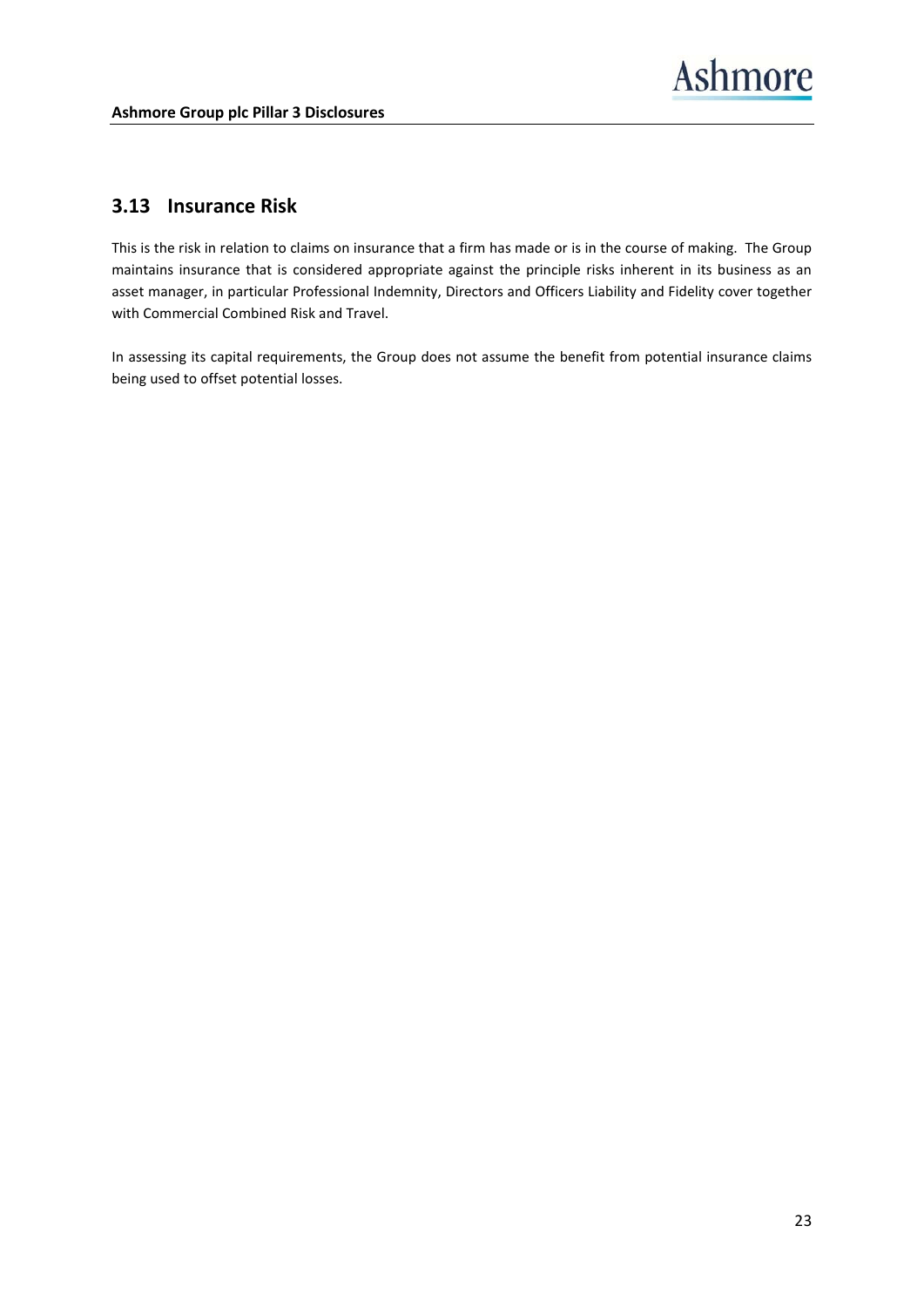# **3.13 Insurance Risk**

This is the risk in relation to claims on insurance that a [firm](https://www.handbook.fca.org.uk/handbook/glossary/G430.html) has made or is in the course of making. The Group maintains insurance that is considered appropriate against the principle risks inherent in its business as an asset manager, in particular Professional Indemnity, Directors and Officers Liability and Fidelity cover together with Commercial Combined Risk and Travel.

In assessing its capital requirements, the Group does not assume the benefit from potential insurance claims being used to offset potential losses.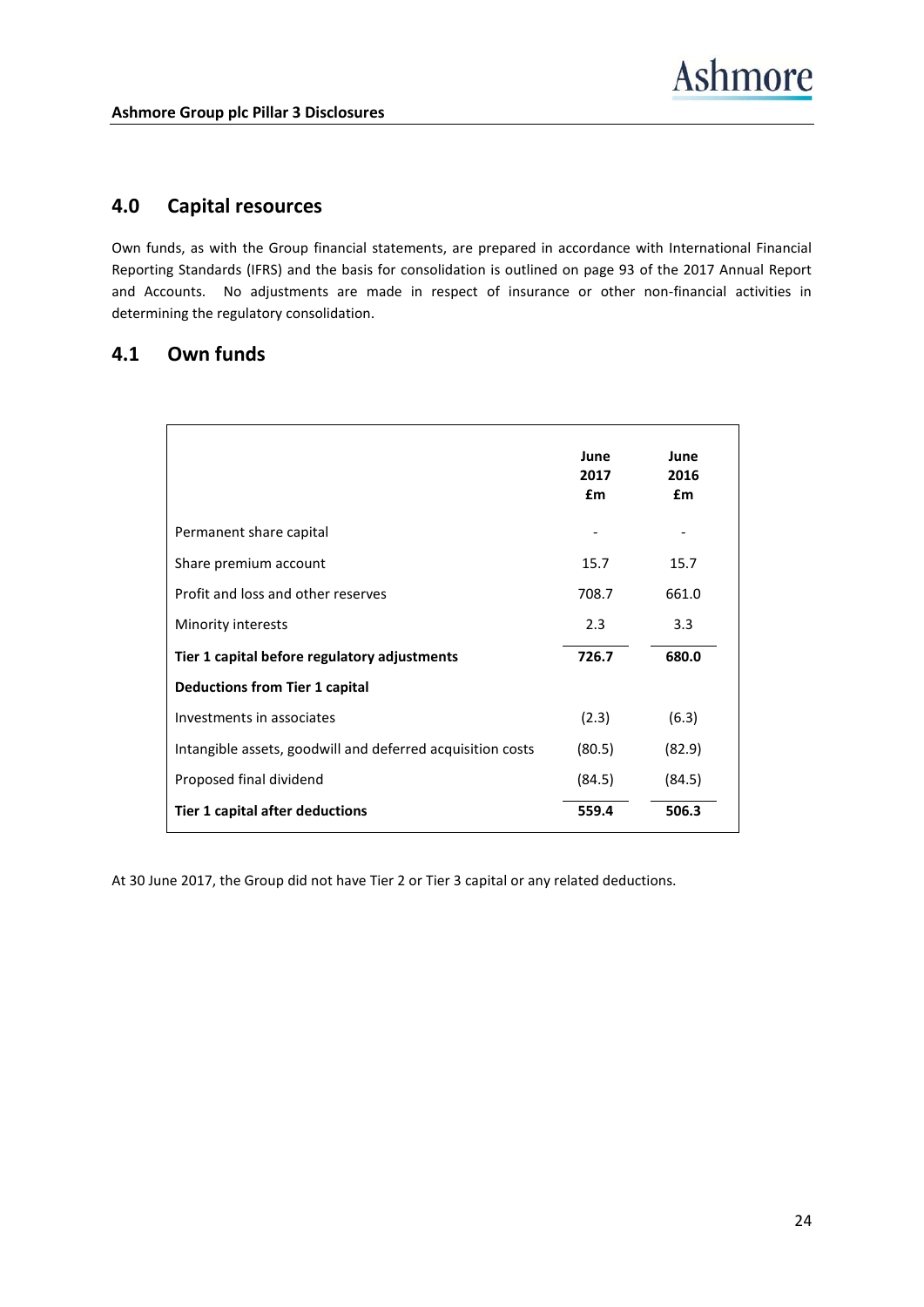### **4.0 Capital resources**

Own funds, as with the Group financial statements, are prepared in accordance with International Financial Reporting Standards (IFRS) and the basis for consolidation is outlined on page 93 of the 2017 Annual Report and Accounts. No adjustments are made in respect of insurance or other non-financial activities in determining the regulatory consolidation.

### **4.1 Own funds**

|                                                            | June<br>2017<br>£m | June<br>2016<br>£m |  |  |
|------------------------------------------------------------|--------------------|--------------------|--|--|
| Permanent share capital                                    |                    |                    |  |  |
| Share premium account                                      | 15.7               | 15.7               |  |  |
| Profit and loss and other reserves                         | 708.7              | 661.0              |  |  |
| Minority interests                                         | 2.3                | 3.3                |  |  |
| Tier 1 capital before regulatory adjustments               | 726.7              | 680.0              |  |  |
| <b>Deductions from Tier 1 capital</b>                      |                    |                    |  |  |
| Investments in associates                                  | (2.3)              | (6.3)              |  |  |
| Intangible assets, goodwill and deferred acquisition costs | (80.5)             | (82.9)             |  |  |
| Proposed final dividend                                    | (84.5)             | (84.5)             |  |  |
| <b>Tier 1 capital after deductions</b>                     | 559.4              | 506.3              |  |  |

At 30 June 2017, the Group did not have Tier 2 or Tier 3 capital or any related deductions.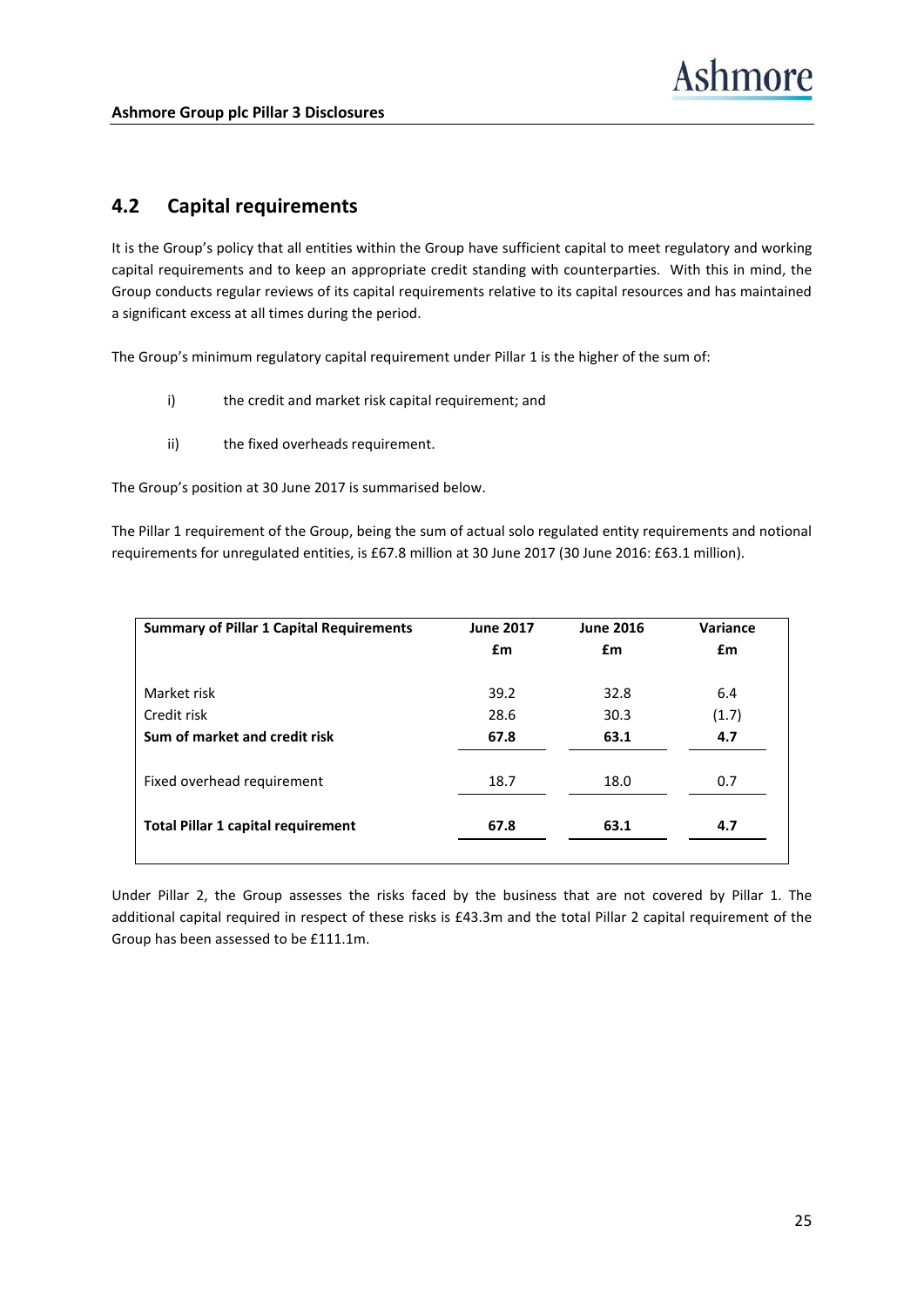### **4.2 Capital requirements**

It is the Group's policy that all entities within the Group have sufficient capital to meet regulatory and working capital requirements and to keep an appropriate credit standing with counterparties. With this in mind, the Group conducts regular reviews of its capital requirements relative to its capital resources and has maintained a significant excess at all times during the period.

The Group's minimum regulatory capital requirement under Pillar 1 is the higher of the sum of:

- i) the credit and market risk capital requirement; and
- ii) the fixed overheads requirement.

The Group's position at 30 June 2017 is summarised below.

The Pillar 1 requirement of the Group, being the sum of actual solo regulated entity requirements and notional requirements for unregulated entities, is £67.8 million at 30 June 2017 (30 June 2016: £63.1 million).

| <b>Summary of Pillar 1 Capital Requirements</b> | <b>June 2017</b> | <b>June 2016</b> | Variance |
|-------------------------------------------------|------------------|------------------|----------|
|                                                 | £m               | £m               | £m       |
|                                                 |                  |                  |          |
| Market risk                                     | 39.2             | 32.8             | 6.4      |
| Credit risk                                     | 28.6             | 30.3             | (1.7)    |
| Sum of market and credit risk                   | 67.8             | 63.1             | 4.7      |
|                                                 |                  |                  |          |
| Fixed overhead requirement                      | 18.7             | 18.0             | 0.7      |
|                                                 |                  |                  |          |
| <b>Total Pillar 1 capital requirement</b>       | 67.8             | 63.1             | 4.7      |
|                                                 |                  |                  |          |

Under Pillar 2, the Group assesses the risks faced by the business that are not covered by Pillar 1. The additional capital required in respect of these risks is £43.3m and the total Pillar 2 capital requirement of the Group has been assessed to be £111.1m.